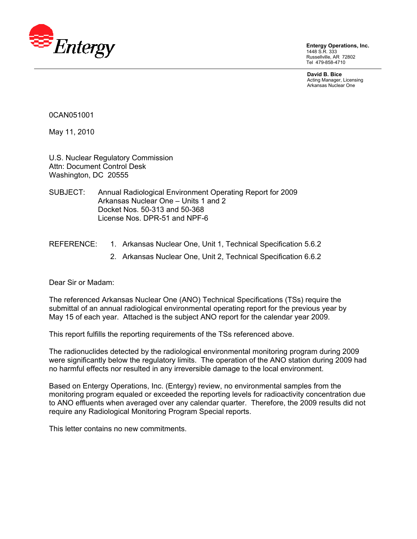

**Entergy Operations, Inc.**  1448 S.R. 333 Russellville, AR 72802 Tel 479-858-4710

**David B. Bice**  Acting Manager, Licensing Arkansas Nuclear One

0CAN051001

May 11, 2010

U.S. Nuclear Regulatory Commission Attn: Document Control Desk Washington, DC 20555

- SUBJECT: Annual Radiological Environment Operating Report for 2009 Arkansas Nuclear One – Units 1 and 2 Docket Nos. 50-313 and 50-368 License Nos. DPR-51 and NPF-6
- REFERENCE: 1. Arkansas Nuclear One, Unit 1, Technical Specification 5.6.2
	- 2. Arkansas Nuclear One, Unit 2, Technical Specification 6.6.2

Dear Sir or Madam:

The referenced Arkansas Nuclear One (ANO) Technical Specifications (TSs) require the submittal of an annual radiological environmental operating report for the previous year by May 15 of each year. Attached is the subject ANO report for the calendar year 2009.

This report fulfills the reporting requirements of the TSs referenced above.

The radionuclides detected by the radiological environmental monitoring program during 2009 were significantly below the regulatory limits. The operation of the ANO station during 2009 had no harmful effects nor resulted in any irreversible damage to the local environment.

Based on Entergy Operations, Inc. (Entergy) review, no environmental samples from the monitoring program equaled or exceeded the reporting levels for radioactivity concentration due to ANO effluents when averaged over any calendar quarter. Therefore, the 2009 results did not require any Radiological Monitoring Program Special reports.

This letter contains no new commitments.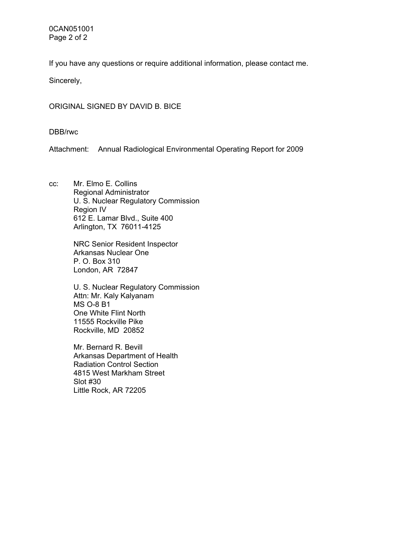0CAN051001 Page 2 of 2

If you have any questions or require additional information, please contact me.

Sincerely,

ORIGINAL SIGNED BY DAVID B. BICE

DBB/rwc

Attachment: Annual Radiological Environmental Operating Report for 2009

cc: Mr. Elmo E. Collins Regional Administrator U. S. Nuclear Regulatory Commission Region IV 612 E. Lamar Blvd., Suite 400 Arlington, TX 76011-4125

> NRC Senior Resident Inspector Arkansas Nuclear One P. O. Box 310 London, AR 72847

U. S. Nuclear Regulatory Commission Attn: Mr. Kaly Kalyanam MS O-8 B1 One White Flint North 11555 Rockville Pike Rockville, MD 20852

Mr. Bernard R. Bevill Arkansas Department of Health Radiation Control Section 4815 West Markham Street Slot #30 Little Rock, AR 72205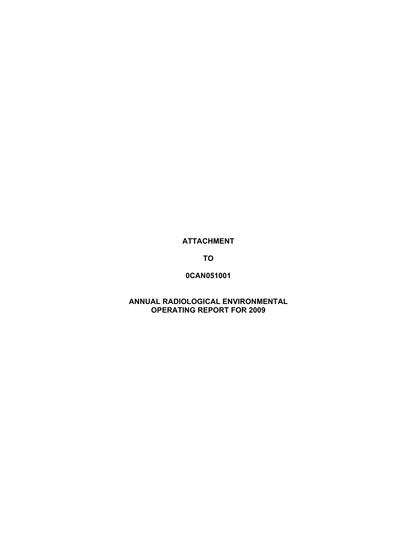# **ATTACHMENT**

**TO** 

# **0CAN051001**

# **ANNUAL RADIOLOGICAL ENVIRONMENTAL OPERATING REPORT FOR 2009**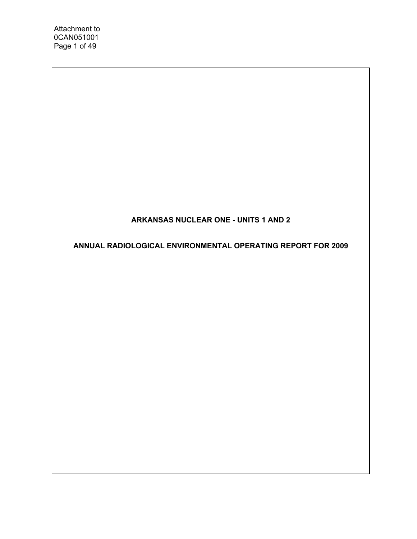# **ARKANSAS NUCLEAR ONE - UNITS 1 AND 2**

**ANNUAL RADIOLOGICAL ENVIRONMENTAL OPERATING REPORT FOR 2009**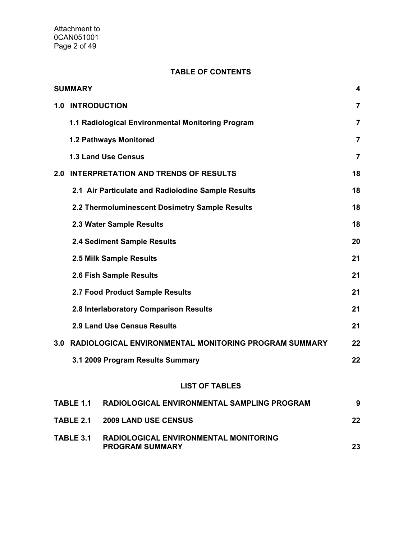## **TABLE OF CONTENTS**

|     | <b>SUMMARY</b>                                                                             | 4              |
|-----|--------------------------------------------------------------------------------------------|----------------|
| 1.0 | <b>INTRODUCTION</b>                                                                        | $\overline{7}$ |
|     | 1.1 Radiological Environmental Monitoring Program                                          | 7              |
|     | 1.2 Pathways Monitored                                                                     | 7              |
|     | <b>1.3 Land Use Census</b>                                                                 | 7              |
| 2.0 | <b>INTERPRETATION AND TRENDS OF RESULTS</b>                                                | 18             |
|     | 2.1 Air Particulate and Radioiodine Sample Results                                         | 18             |
|     | 2.2 Thermoluminescent Dosimetry Sample Results                                             | 18             |
|     | 2.3 Water Sample Results                                                                   | 18             |
|     | 2.4 Sediment Sample Results                                                                | 20             |
|     | 2.5 Milk Sample Results                                                                    | 21             |
|     | 2.6 Fish Sample Results                                                                    | 21             |
|     | 2.7 Food Product Sample Results                                                            | 21             |
|     | 2.8 Interlaboratory Comparison Results                                                     | 21             |
|     | <b>2.9 Land Use Census Results</b>                                                         | 21             |
| 3.0 | RADIOLOGICAL ENVIRONMENTAL MONITORING PROGRAM SUMMARY                                      | 22             |
|     | 3.1 2009 Program Results Summary                                                           | 22             |
|     | <b>LIST OF TABLES</b>                                                                      |                |
|     | RADIOLOGICAL ENVIRONMENTAL SAMPLING PROGRAM<br>TABLE 1.1                                   | 9              |
|     | TABLE 2.1<br><b>2009 LAND USE CENSUS</b>                                                   | 22             |
|     | <b>TABLE 3.1</b><br><b>RADIOLOGICAL ENVIRONMENTAL MONITORING</b><br><b>PROGRAM SUMMARY</b> | 23             |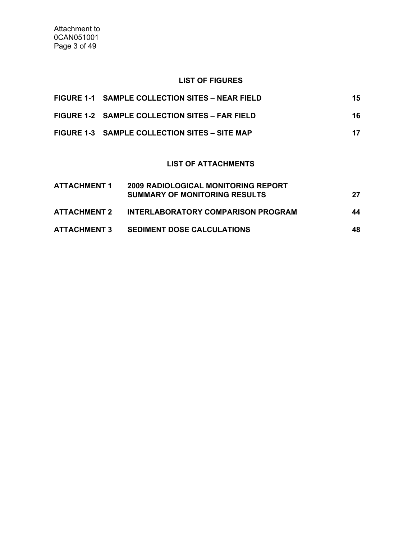### **LIST OF FIGURES**

| FIGURE 1-1 SAMPLE COLLECTION SITES - NEAR FIELD | 15. |
|-------------------------------------------------|-----|
| FIGURE 1-2 SAMPLE COLLECTION SITES - FAR FIELD  | 16. |
| FIGURE 1-3 SAMPLE COLLECTION SITES – SITE MAP   | 17  |

# **LIST OF ATTACHMENTS**

| <b>ATTACHMENT 1</b> | <b>2009 RADIOLOGICAL MONITORING REPORT</b><br><b>SUMMARY OF MONITORING RESULTS</b> | 27  |
|---------------------|------------------------------------------------------------------------------------|-----|
| <b>ATTACHMENT 2</b> | INTERLABORATORY COMPARISON PROGRAM                                                 | 44  |
| <b>ATTACHMENT 3</b> | <b>SEDIMENT DOSE CALCULATIONS</b>                                                  | 48. |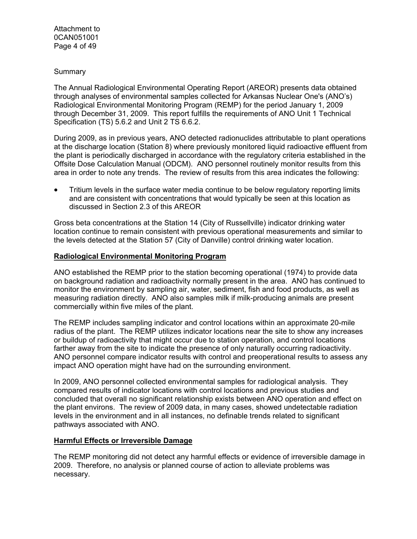### Summary

The Annual Radiological Environmental Operating Report (AREOR) presents data obtained through analyses of environmental samples collected for Arkansas Nuclear One's (ANO's) Radiological Environmental Monitoring Program (REMP) for the period January 1, 2009 through December 31, 2009. This report fulfills the requirements of ANO Unit 1 Technical Specification (TS) 5.6.2 and Unit 2 TS 6.6.2.

During 2009, as in previous years, ANO detected radionuclides attributable to plant operations at the discharge location (Station 8) where previously monitored liquid radioactive effluent from the plant is periodically discharged in accordance with the regulatory criteria established in the Offsite Dose Calculation Manual (ODCM). ANO personnel routinely monitor results from this area in order to note any trends. The review of results from this area indicates the following:

• Tritium levels in the surface water media continue to be below regulatory reporting limits and are consistent with concentrations that would typically be seen at this location as discussed in Section 2.3 of this AREOR

Gross beta concentrations at the Station 14 (City of Russellville) indicator drinking water location continue to remain consistent with previous operational measurements and similar to the levels detected at the Station 57 (City of Danville) control drinking water location.

### **Radiological Environmental Monitoring Program**

ANO established the REMP prior to the station becoming operational (1974) to provide data on background radiation and radioactivity normally present in the area. ANO has continued to monitor the environment by sampling air, water, sediment, fish and food products, as well as measuring radiation directly. ANO also samples milk if milk-producing animals are present commercially within five miles of the plant.

The REMP includes sampling indicator and control locations within an approximate 20-mile radius of the plant. The REMP utilizes indicator locations near the site to show any increases or buildup of radioactivity that might occur due to station operation, and control locations farther away from the site to indicate the presence of only naturally occurring radioactivity. ANO personnel compare indicator results with control and preoperational results to assess any impact ANO operation might have had on the surrounding environment.

In 2009, ANO personnel collected environmental samples for radiological analysis. They compared results of indicator locations with control locations and previous studies and concluded that overall no significant relationship exists between ANO operation and effect on the plant environs. The review of 2009 data, in many cases, showed undetectable radiation levels in the environment and in all instances, no definable trends related to significant pathways associated with ANO.

#### **Harmful Effects or Irreversible Damage**

The REMP monitoring did not detect any harmful effects or evidence of irreversible damage in 2009. Therefore, no analysis or planned course of action to alleviate problems was necessary.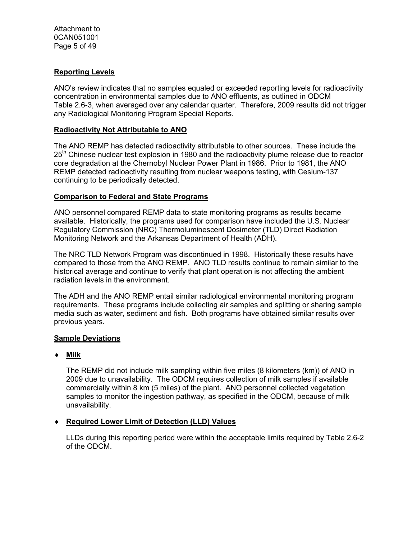Attachment to 0CAN051001 Page 5 of 49

## **Reporting Levels**

ANO's review indicates that no samples equaled or exceeded reporting levels for radioactivity concentration in environmental samples due to ANO effluents, as outlined in ODCM Table 2.6-3, when averaged over any calendar quarter. Therefore, 2009 results did not trigger any Radiological Monitoring Program Special Reports.

### **Radioactivity Not Attributable to ANO**

The ANO REMP has detected radioactivity attributable to other sources. These include the 25<sup>th</sup> Chinese nuclear test explosion in 1980 and the radioactivity plume release due to reactor core degradation at the Chernobyl Nuclear Power Plant in 1986. Prior to 1981, the ANO REMP detected radioactivity resulting from nuclear weapons testing, with Cesium-137 continuing to be periodically detected.

## **Comparison to Federal and State Programs**

ANO personnel compared REMP data to state monitoring programs as results became available. Historically, the programs used for comparison have included the U.S. Nuclear Regulatory Commission (NRC) Thermoluminescent Dosimeter (TLD) Direct Radiation Monitoring Network and the Arkansas Department of Health (ADH).

The NRC TLD Network Program was discontinued in 1998. Historically these results have compared to those from the ANO REMP. ANO TLD results continue to remain similar to the historical average and continue to verify that plant operation is not affecting the ambient radiation levels in the environment.

The ADH and the ANO REMP entail similar radiological environmental monitoring program requirements. These programs include collecting air samples and splitting or sharing sample media such as water, sediment and fish. Both programs have obtained similar results over previous years.

## **Sample Deviations**

## **Milk**

The REMP did not include milk sampling within five miles (8 kilometers (km)) of ANO in 2009 due to unavailability. The ODCM requires collection of milk samples if available commercially within 8 km (5 miles) of the plant. ANO personnel collected vegetation samples to monitor the ingestion pathway, as specified in the ODCM, because of milk unavailability.

## **Required Lower Limit of Detection (LLD) Values**

LLDs during this reporting period were within the acceptable limits required by Table 2.6-2 of the ODCM.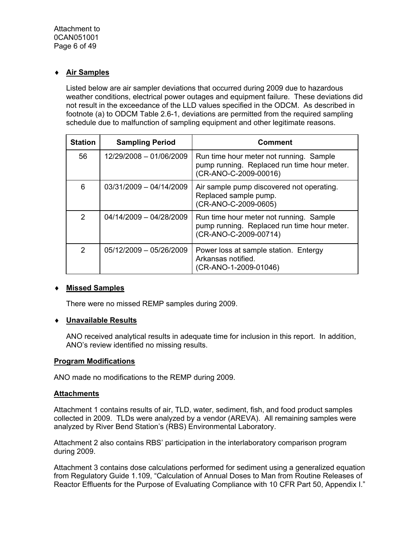## **Air Samples**

Listed below are air sampler deviations that occurred during 2009 due to hazardous weather conditions, electrical power outages and equipment failure. These deviations did not result in the exceedance of the LLD values specified in the ODCM. As described in footnote (a) to ODCM Table 2.6-1, deviations are permitted from the required sampling schedule due to malfunction of sampling equipment and other legitimate reasons.

| <b>Station</b> | <b>Sampling Period</b>  | <b>Comment</b>                                                                                                  |
|----------------|-------------------------|-----------------------------------------------------------------------------------------------------------------|
| 56             | 12/29/2008 - 01/06/2009 | Run time hour meter not running. Sample<br>pump running. Replaced run time hour meter.<br>(CR-ANO-C-2009-00016) |
| 6              | 03/31/2009 - 04/14/2009 | Air sample pump discovered not operating.<br>Replaced sample pump.<br>(CR-ANO-C-2009-0605)                      |
| $\mathcal{P}$  | 04/14/2009 - 04/28/2009 | Run time hour meter not running. Sample<br>pump running. Replaced run time hour meter.<br>(CR-ANO-C-2009-00714) |
| $\mathcal{P}$  | 05/12/2009 - 05/26/2009 | Power loss at sample station. Entergy<br>Arkansas notified.<br>(CR-ANO-1-2009-01046)                            |

## **Missed Samples**

There were no missed REMP samples during 2009.

## **Unavailable Results**

ANO received analytical results in adequate time for inclusion in this report. In addition, ANO's review identified no missing results.

#### **Program Modifications**

ANO made no modifications to the REMP during 2009.

#### **Attachments**

Attachment 1 contains results of air, TLD, water, sediment, fish, and food product samples collected in 2009. TLDs were analyzed by a vendor (AREVA). All remaining samples were analyzed by River Bend Station's (RBS) Environmental Laboratory.

Attachment 2 also contains RBS' participation in the interlaboratory comparison program during 2009.

Attachment 3 contains dose calculations performed for sediment using a generalized equation from Regulatory Guide 1.109, "Calculation of Annual Doses to Man from Routine Releases of Reactor Effluents for the Purpose of Evaluating Compliance with 10 CFR Part 50, Appendix I."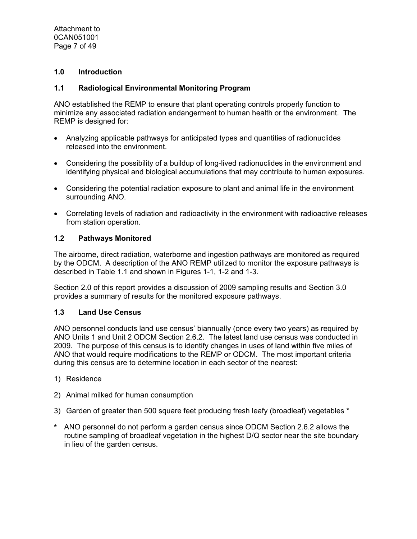Attachment to 0CAN051001 Page 7 of 49

## **1.0 Introduction**

### **1.1 Radiological Environmental Monitoring Program**

ANO established the REMP to ensure that plant operating controls properly function to minimize any associated radiation endangerment to human health or the environment. The REMP is designed for:

- Analyzing applicable pathways for anticipated types and quantities of radionuclides released into the environment.
- Considering the possibility of a buildup of long-lived radionuclides in the environment and identifying physical and biological accumulations that may contribute to human exposures.
- Considering the potential radiation exposure to plant and animal life in the environment surrounding ANO.
- Correlating levels of radiation and radioactivity in the environment with radioactive releases from station operation.

### **1.2 Pathways Monitored**

The airborne, direct radiation, waterborne and ingestion pathways are monitored as required by the ODCM. A description of the ANO REMP utilized to monitor the exposure pathways is described in Table 1.1 and shown in Figures 1-1, 1-2 and 1-3.

Section 2.0 of this report provides a discussion of 2009 sampling results and Section 3.0 provides a summary of results for the monitored exposure pathways.

### **1.3 Land Use Census**

ANO personnel conducts land use census' biannually (once every two years) as required by ANO Units 1 and Unit 2 ODCM Section 2.6.2. The latest land use census was conducted in 2009. The purpose of this census is to identify changes in uses of land within five miles of ANO that would require modifications to the REMP or ODCM. The most important criteria during this census are to determine location in each sector of the nearest:

- 1) Residence
- 2) Animal milked for human consumption
- 3) Garden of greater than 500 square feet producing fresh leafy (broadleaf) vegetables \*
- **\*** ANO personnel do not perform a garden census since ODCM Section 2.6.2 allows the routine sampling of broadleaf vegetation in the highest D/Q sector near the site boundary in lieu of the garden census.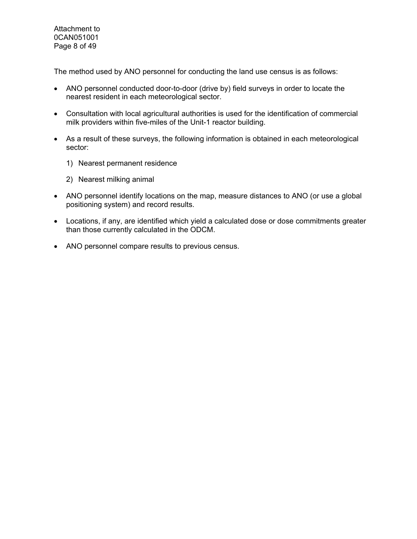Attachment to 0CAN051001 Page 8 of 49

The method used by ANO personnel for conducting the land use census is as follows:

- ANO personnel conducted door-to-door (drive by) field surveys in order to locate the nearest resident in each meteorological sector.
- Consultation with local agricultural authorities is used for the identification of commercial milk providers within five-miles of the Unit-1 reactor building.
- As a result of these surveys, the following information is obtained in each meteorological sector:
	- 1) Nearest permanent residence
	- 2) Nearest milking animal
- ANO personnel identify locations on the map, measure distances to ANO (or use a global positioning system) and record results.
- Locations, if any, are identified which yield a calculated dose or dose commitments greater than those currently calculated in the ODCM.
- ANO personnel compare results to previous census.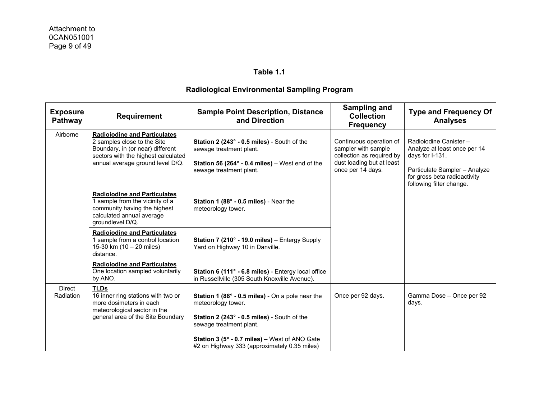| <b>Exposure</b><br>Pathway | <b>Requirement</b>                                                                                                                                                                | <b>Sample Point Description, Distance</b><br>and Direction                                                                                                                                                                                                                   | Sampling and<br><b>Collection</b><br><b>Frequency</b>                                                                         | <b>Type and Frequency Of</b><br><b>Analyses</b>                                                                                                                        |
|----------------------------|-----------------------------------------------------------------------------------------------------------------------------------------------------------------------------------|------------------------------------------------------------------------------------------------------------------------------------------------------------------------------------------------------------------------------------------------------------------------------|-------------------------------------------------------------------------------------------------------------------------------|------------------------------------------------------------------------------------------------------------------------------------------------------------------------|
| Airborne                   | <b>Radioiodine and Particulates</b><br>2 samples close to the Site<br>Boundary, in (or near) different<br>sectors with the highest calculated<br>annual average ground level D/Q. | Station 2 (243° - 0.5 miles) - South of the<br>sewage treatment plant.<br>Station 56 (264 $\degree$ - 0.4 miles) – West end of the<br>sewage treatment plant.                                                                                                                | Continuous operation of<br>sampler with sample<br>collection as required by<br>dust loading but at least<br>once per 14 days. | Radioiodine Canister -<br>Analyze at least once per 14<br>days for I-131.<br>Particulate Sampler - Analyze<br>for gross beta radioactivity<br>following filter change. |
|                            | <b>Radioiodine and Particulates</b><br>1 sample from the vicinity of a<br>community having the highest<br>calculated annual average<br>groundlevel D/Q.                           | Station 1 (88° - 0.5 miles) - Near the<br>meteorology tower.                                                                                                                                                                                                                 |                                                                                                                               |                                                                                                                                                                        |
|                            | <b>Radioiodine and Particulates</b><br>1 sample from a control location<br>15-30 km (10 - 20 miles)<br>distance.                                                                  | Station 7 (210° - 19.0 miles) - Entergy Supply<br>Yard on Highway 10 in Danville.                                                                                                                                                                                            |                                                                                                                               |                                                                                                                                                                        |
|                            | <b>Radioiodine and Particulates</b><br>One location sampled voluntarily<br>by ANO.                                                                                                | Station 6 (111° - 6.8 miles) - Entergy local office<br>in Russellville (305 South Knoxville Avenue).                                                                                                                                                                         |                                                                                                                               |                                                                                                                                                                        |
| <b>Direct</b><br>Radiation | <b>TLDs</b><br>16 inner ring stations with two or<br>more dosimeters in each<br>meteorological sector in the<br>general area of the Site Boundary                                 | Station 1 (88° - 0.5 miles) - On a pole near the<br>meteorology tower.<br>Station 2 (243° - 0.5 miles) - South of the<br>sewage treatment plant.<br><b>Station 3 (5<math>^{\circ}</math> - 0.7 miles)</b> – West of ANO Gate<br>#2 on Highway 333 (approximately 0.35 miles) | Once per 92 days.                                                                                                             | Gamma Dose - Once per 92<br>days.                                                                                                                                      |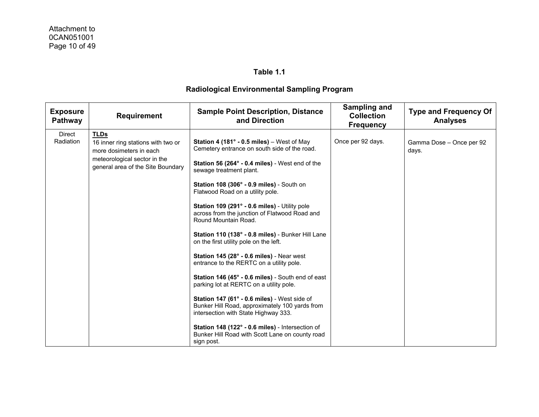| <b>Exposure</b><br><b>Pathway</b> | <b>Requirement</b>                                                                                                                                | <b>Sample Point Description, Distance</b><br>and Direction                                                                                                                                                                                                                                                                                                                                                                                                                                                                                                                                                                                                                                                                                                                                                                                                                                                                                 | <b>Sampling and</b><br><b>Collection</b><br><b>Frequency</b> | <b>Type and Frequency Of</b><br><b>Analyses</b> |
|-----------------------------------|---------------------------------------------------------------------------------------------------------------------------------------------------|--------------------------------------------------------------------------------------------------------------------------------------------------------------------------------------------------------------------------------------------------------------------------------------------------------------------------------------------------------------------------------------------------------------------------------------------------------------------------------------------------------------------------------------------------------------------------------------------------------------------------------------------------------------------------------------------------------------------------------------------------------------------------------------------------------------------------------------------------------------------------------------------------------------------------------------------|--------------------------------------------------------------|-------------------------------------------------|
| <b>Direct</b><br>Radiation        | <b>TLDs</b><br>16 inner ring stations with two or<br>more dosimeters in each<br>meteorological sector in the<br>general area of the Site Boundary | Station 4 (181° - 0.5 miles) - West of May<br>Cemetery entrance on south side of the road.<br>Station 56 (264° - 0.4 miles) - West end of the<br>sewage treatment plant.<br>Station 108 (306° - 0.9 miles) - South on<br>Flatwood Road on a utility pole.<br>Station 109 (291° - 0.6 miles) - Utility pole<br>across from the junction of Flatwood Road and<br>Round Mountain Road.<br>Station 110 (138° - 0.8 miles) - Bunker Hill Lane<br>on the first utility pole on the left.<br>Station 145 (28° - 0.6 miles) - Near west<br>entrance to the RERTC on a utility pole.<br>Station 146 (45° - 0.6 miles) - South end of east<br>parking lot at RERTC on a utility pole.<br>Station 147 (61° - 0.6 miles) - West side of<br>Bunker Hill Road, approximately 100 yards from<br>intersection with State Highway 333.<br>Station 148 (122° - 0.6 miles) - Intersection of<br>Bunker Hill Road with Scott Lane on county road<br>sign post. | Once per 92 days.                                            | Gamma Dose - Once per 92<br>days.               |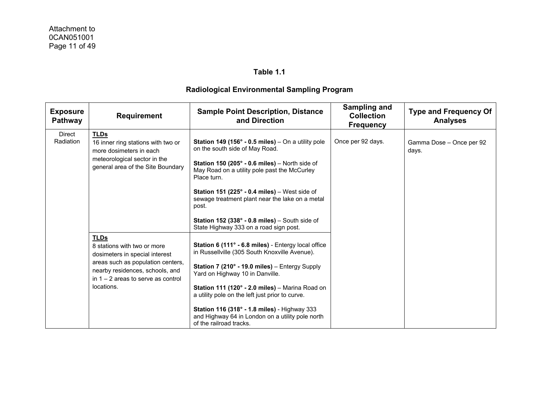| <b>Exposure</b><br>Pathway | <b>Requirement</b>                                                                                                                                                                                         | <b>Sample Point Description, Distance</b><br>and Direction                                                                                                                                                                                                                                                                                                                                                                                                                         | Sampling and<br><b>Collection</b><br><b>Frequency</b> | <b>Type and Frequency Of</b><br><b>Analyses</b> |
|----------------------------|------------------------------------------------------------------------------------------------------------------------------------------------------------------------------------------------------------|------------------------------------------------------------------------------------------------------------------------------------------------------------------------------------------------------------------------------------------------------------------------------------------------------------------------------------------------------------------------------------------------------------------------------------------------------------------------------------|-------------------------------------------------------|-------------------------------------------------|
| Direct<br>Radiation        | <b>TLDs</b><br>16 inner ring stations with two or<br>more dosimeters in each<br>meteorological sector in the<br>general area of the Site Boundary                                                          | <b>Station 149 (156° - 0.5 miles)</b> – On a utility pole<br>on the south side of May Road.<br><b>Station 150 (205<math>^{\circ}</math> - 0.6 miles)</b> – North side of<br>May Road on a utility pole past the McCurley<br>Place turn.<br><b>Station 151 (225° - 0.4 miles)</b> – West side of<br>sewage treatment plant near the lake on a metal<br>post.<br><b>Station 152 (338<math>^{\circ}</math> - 0.8 miles)</b> – South side of<br>State Highway 333 on a road sign post. | Once per 92 days.                                     | Gamma Dose - Once per 92<br>days.               |
|                            | <b>TLDs</b><br>8 stations with two or more<br>dosimeters in special interest<br>areas such as population centers,<br>nearby residences, schools, and<br>in $1 - 2$ areas to serve as control<br>locations. | Station 6 (111° - 6.8 miles) - Entergy local office<br>in Russellville (305 South Knoxville Avenue).<br>Station 7 (210° - 19.0 miles) - Entergy Supply<br>Yard on Highway 10 in Danville.<br>Station 111 (120° - 2.0 miles) – Marina Road on<br>a utility pole on the left just prior to curve.<br>Station 116 (318° - 1.8 miles) - Highway 333<br>and Highway 64 in London on a utility pole north<br>of the railroad tracks.                                                     |                                                       |                                                 |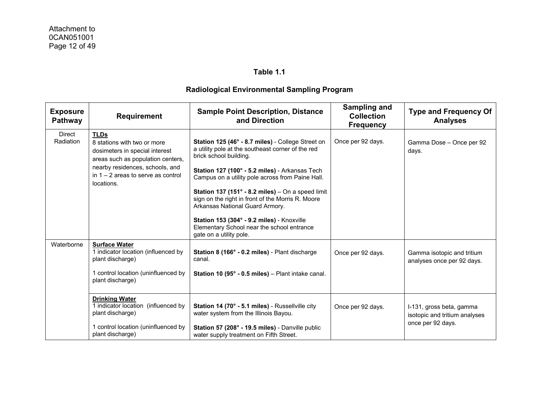| <b>Exposure</b><br>Pathway | <b>Requirement</b>                                                                                                                                                                                         | <b>Sample Point Description, Distance</b><br>and Direction                                                                                                                                                                                                                                                                                                                                                                                                                                                          | <b>Sampling and</b><br><b>Collection</b><br><b>Frequency</b> | <b>Type and Frequency Of</b><br><b>Analyses</b>                                |
|----------------------------|------------------------------------------------------------------------------------------------------------------------------------------------------------------------------------------------------------|---------------------------------------------------------------------------------------------------------------------------------------------------------------------------------------------------------------------------------------------------------------------------------------------------------------------------------------------------------------------------------------------------------------------------------------------------------------------------------------------------------------------|--------------------------------------------------------------|--------------------------------------------------------------------------------|
| <b>Direct</b><br>Radiation | <b>TLDs</b><br>8 stations with two or more<br>dosimeters in special interest<br>areas such as population centers,<br>nearby residences, schools, and<br>in $1 - 2$ areas to serve as control<br>locations. | Station 125 (46° - 8.7 miles) - College Street on<br>a utility pole at the southeast corner of the red<br>brick school building.<br>Station 127 (100° - 5.2 miles) - Arkansas Tech<br>Campus on a utility pole across from Paine Hall.<br>Station 137 (151 $\degree$ - 8.2 miles) – On a speed limit<br>sign on the right in front of the Morris R. Moore<br>Arkansas National Guard Armory.<br>Station 153 (304° - 9.2 miles) - Knoxville<br>Elementary School near the school entrance<br>gate on a utility pole. | Once per 92 days.                                            | Gamma Dose - Once per 92<br>days.                                              |
| Waterborne                 | <b>Surface Water</b><br>1 indicator location (influenced by<br>plant discharge)<br>1 control location (uninfluenced by<br>plant discharge)                                                                 | Station 8 (166° - 0.2 miles) - Plant discharge<br>canal.<br>Station 10 (95° - 0.5 miles) – Plant intake canal.                                                                                                                                                                                                                                                                                                                                                                                                      | Once per 92 days.                                            | Gamma isotopic and tritium<br>analyses once per 92 days.                       |
|                            | <b>Drinking Water</b><br>1 indicator location (influenced by<br>plant discharge)<br>1 control location (uninfluenced by<br>plant discharge)                                                                | Station 14 (70° - 5.1 miles) - Russellville city<br>water system from the Illinois Bayou.<br>Station 57 (208° - 19.5 miles) - Danville public<br>water supply treatment on Fifth Street.                                                                                                                                                                                                                                                                                                                            | Once per 92 days.                                            | I-131, gross beta, gamma<br>isotopic and tritium analyses<br>once per 92 days. |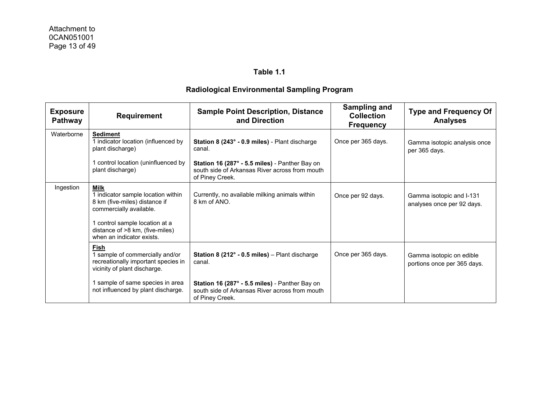| <b>Exposure</b><br><b>Pathway</b> | <b>Requirement</b>                                                                                             | <b>Sample Point Description, Distance</b><br>and Direction                                                          | <b>Sampling and</b><br><b>Collection</b><br><b>Frequency</b> | <b>Type and Frequency Of</b><br><b>Analyses</b>         |
|-----------------------------------|----------------------------------------------------------------------------------------------------------------|---------------------------------------------------------------------------------------------------------------------|--------------------------------------------------------------|---------------------------------------------------------|
| Waterborne                        | <b>Sediment</b><br>1 indicator location (influenced by<br>plant discharge)                                     | Station 8 (243° - 0.9 miles) - Plant discharge<br>canal.                                                            | Once per 365 days.                                           | Gamma isotopic analysis once<br>per 365 days.           |
|                                   | control location (uninfluenced by<br>plant discharge)                                                          | Station 16 (287° - 5.5 miles) - Panther Bay on<br>south side of Arkansas River across from mouth<br>of Piney Creek. |                                                              |                                                         |
| Ingestion                         | <b>Milk</b><br>1 indicator sample location within<br>8 km (five-miles) distance if<br>commercially available.  | Currently, no available milking animals within<br>8 km of ANO.                                                      | Once per 92 days.                                            | Gamma isotopic and I-131<br>analyses once per 92 days.  |
|                                   | 1 control sample location at a<br>distance of >8 km, (five-miles)<br>when an indicator exists.                 |                                                                                                                     |                                                              |                                                         |
|                                   | Fish<br>1 sample of commercially and/or<br>recreationally important species in<br>vicinity of plant discharge. | <b>Station 8 (212<math>^{\circ}</math> - 0.5 miles)</b> – Plant discharge<br>canal.                                 | Once per 365 days.                                           | Gamma isotopic on edible<br>portions once per 365 days. |
|                                   | 1 sample of same species in area<br>not influenced by plant discharge.                                         | Station 16 (287° - 5.5 miles) - Panther Bay on<br>south side of Arkansas River across from mouth<br>of Piney Creek. |                                                              |                                                         |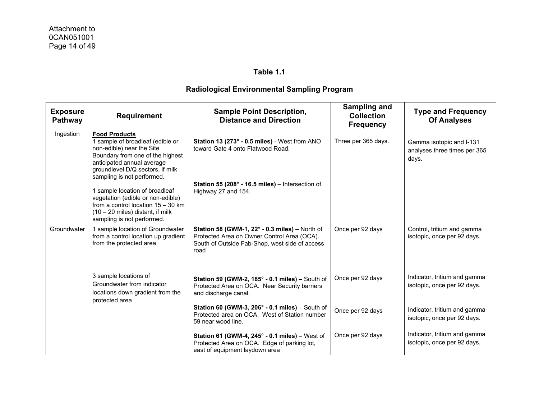| <b>Exposure</b><br>Pathway | <b>Requirement</b>                                                                                                                                                                                                        | <b>Sample Point Description,</b><br><b>Distance and Direction</b>                                                                                       | <b>Sampling and</b><br><b>Collection</b><br><b>Frequency</b> | <b>Type and Frequency</b><br><b>Of Analyses</b>                   |
|----------------------------|---------------------------------------------------------------------------------------------------------------------------------------------------------------------------------------------------------------------------|---------------------------------------------------------------------------------------------------------------------------------------------------------|--------------------------------------------------------------|-------------------------------------------------------------------|
| Ingestion                  | <b>Food Products</b><br>1 sample of broadleaf (edible or<br>non-edible) near the Site<br>Boundary from one of the highest<br>anticipated annual average<br>groundlevel D/Q sectors, if milk<br>sampling is not performed. | Station 13 (273° - 0.5 miles) - West from ANO<br>toward Gate 4 onto Flatwood Road.                                                                      | Three per 365 days.                                          | Gamma isotopic and I-131<br>analyses three times per 365<br>days. |
|                            | 1 sample location of broadleaf<br>vegetation (edible or non-edible)<br>from a control location $15 - 30$ km<br>$(10 - 20$ miles) distant, if milk<br>sampling is not performed.                                           | <b>Station 55 (208<math>^{\circ}</math> - 16.5 miles)</b> – Intersection of<br>Highway 27 and 154.                                                      |                                                              |                                                                   |
| Groundwater                | 1 sample location of Groundwater<br>from a control location up gradient<br>from the protected area                                                                                                                        | Station 58 (GWM-1, 22° - 0.3 miles) - North of<br>Protected Area on Owner Control Area (OCA).<br>South of Outside Fab-Shop, west side of access<br>road | Once per 92 days                                             | Control, tritium and gamma<br>isotopic, once per 92 days.         |
|                            | 3 sample locations of<br>Groundwater from indicator<br>locations down gradient from the<br>protected area                                                                                                                 | Station 59 (GWM-2, 185° - 0.1 miles) - South of<br>Protected Area on OCA. Near Security barriers<br>and discharge canal.                                | Once per 92 days                                             | Indicator, tritium and gamma<br>isotopic, once per 92 days.       |
|                            |                                                                                                                                                                                                                           | Station 60 (GWM-3, $206^\circ$ - 0.1 miles) – South of<br>Protected area on OCA. West of Station number<br>59 near wood line.                           | Once per 92 days                                             | Indicator, tritium and gamma<br>isotopic, once per 92 days.       |
|                            |                                                                                                                                                                                                                           | Station 61 (GWM-4, $245^\circ$ - 0.1 miles) – West of<br>Protected Area on OCA. Edge of parking lot,<br>east of equipment laydown area                  | Once per 92 days                                             | Indicator, tritium and gamma<br>isotopic, once per 92 days.       |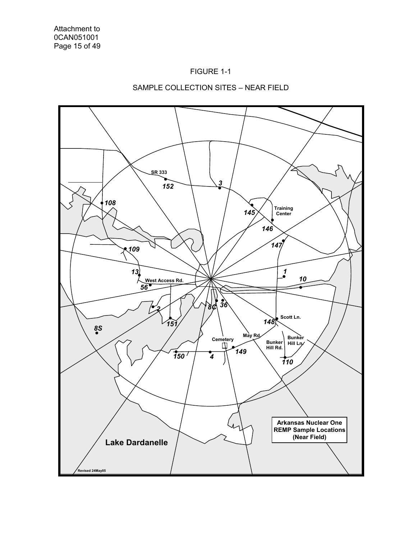



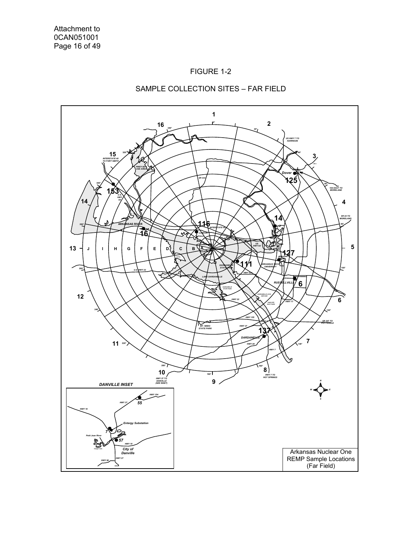



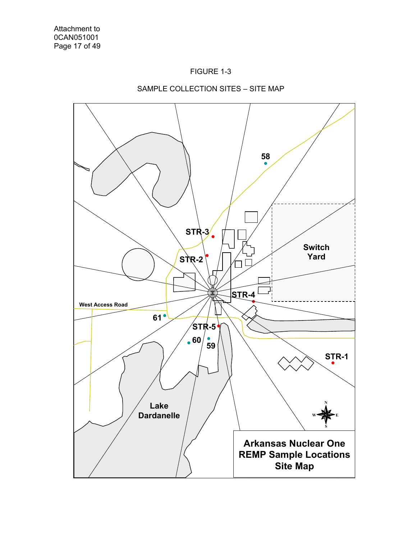



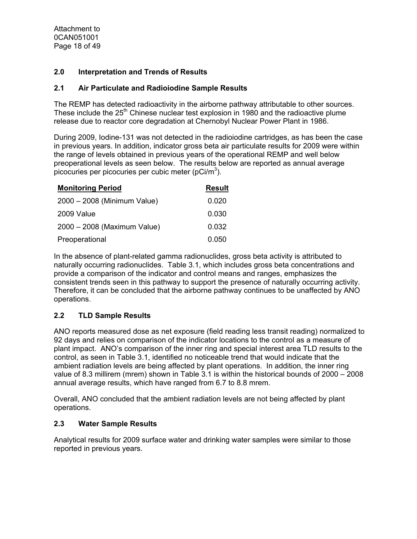Attachment to 0CAN051001 Page 18 of 49

## **2.0 Interpretation and Trends of Results**

## **2.1 Air Particulate and Radioiodine Sample Results**

The REMP has detected radioactivity in the airborne pathway attributable to other sources. These include the 25<sup>th</sup> Chinese nuclear test explosion in 1980 and the radioactive plume release due to reactor core degradation at Chernobyl Nuclear Power Plant in 1986.

During 2009, Iodine-131 was not detected in the radioiodine cartridges, as has been the case in previous years. In addition, indicator gross beta air particulate results for 2009 were within the range of levels obtained in previous years of the operational REMP and well below preoperational levels as seen below. The results below are reported as annual average picocuries per picocuries per cubic meter (pCi/m<sup>3</sup>).

| <b>Monitoring Period</b>    | <b>Result</b> |
|-----------------------------|---------------|
| 2000 - 2008 (Minimum Value) | 0.020         |
| 2009 Value                  | 0.030         |
| 2000 - 2008 (Maximum Value) | 0.032         |
| Preoperational              | 0.050         |

In the absence of plant-related gamma radionuclides, gross beta activity is attributed to naturally occurring radionuclides. Table 3.1, which includes gross beta concentrations and provide a comparison of the indicator and control means and ranges, emphasizes the consistent trends seen in this pathway to support the presence of naturally occurring activity. Therefore, it can be concluded that the airborne pathway continues to be unaffected by ANO operations.

# **2.2 TLD Sample Results**

ANO reports measured dose as net exposure (field reading less transit reading) normalized to 92 days and relies on comparison of the indicator locations to the control as a measure of plant impact. ANO's comparison of the inner ring and special interest area TLD results to the control, as seen in Table 3.1, identified no noticeable trend that would indicate that the ambient radiation levels are being affected by plant operations. In addition, the inner ring value of 8.3 millirem (mrem) shown in Table 3.1 is within the historical bounds of 2000 – 2008 annual average results, which have ranged from 6.7 to 8.8 mrem.

Overall, ANO concluded that the ambient radiation levels are not being affected by plant operations.

## **2.3 Water Sample Results**

Analytical results for 2009 surface water and drinking water samples were similar to those reported in previous years.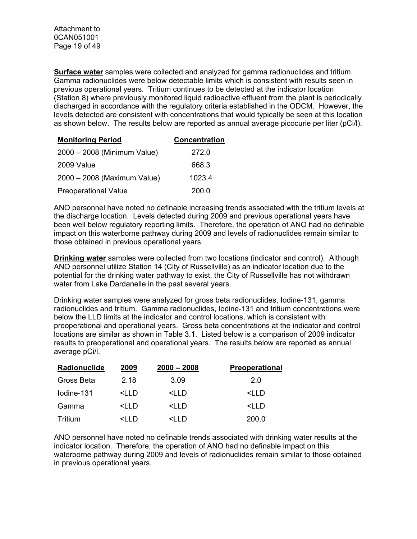**Surface water** samples were collected and analyzed for gamma radionuclides and tritium. Gamma radionuclides were below detectable limits which is consistent with results seen in previous operational years. Tritium continues to be detected at the indicator location (Station 8) where previously monitored liquid radioactive effluent from the plant is periodically discharged in accordance with the regulatory criteria established in the ODCM. However, the levels detected are consistent with concentrations that would typically be seen at this location as shown below. The results below are reported as annual average picocurie per liter (pCi/l).

| <b>Monitoring Period</b>    | <b>Concentration</b> |
|-----------------------------|----------------------|
| 2000 - 2008 (Minimum Value) | 272.0                |
| 2009 Value                  | 668.3                |
| 2000 - 2008 (Maximum Value) | 1023.4               |
| <b>Preoperational Value</b> | 200.0                |

ANO personnel have noted no definable increasing trends associated with the tritium levels at the discharge location. Levels detected during 2009 and previous operational years have been well below regulatory reporting limits. Therefore, the operation of ANO had no definable impact on this waterborne pathway during 2009 and levels of radionuclides remain similar to those obtained in previous operational years.

**Drinking water** samples were collected from two locations (indicator and control). Although ANO personnel utilize Station 14 (City of Russellville) as an indicator location due to the potential for the drinking water pathway to exist, the City of Russellville has not withdrawn water from Lake Dardanelle in the past several years.

Drinking water samples were analyzed for gross beta radionuclides, Iodine-131, gamma radionuclides and tritium. Gamma radionuclides, Iodine-131 and tritium concentrations were below the LLD limits at the indicator and control locations, which is consistent with preoperational and operational years. Gross beta concentrations at the indicator and control locations are similar as shown in Table 3.1. Listed below is a comparison of 2009 indicator results to preoperational and operational years. The results below are reported as annual average pCi/l.

| Radionuclide | 2009                                                                             | $2000 - 2008$                                   | <b>Preoperational</b> |
|--------------|----------------------------------------------------------------------------------|-------------------------------------------------|-----------------------|
| Gross Beta   | 2.18                                                                             | 3.09                                            | 2.0                   |
| lodine-131   | <i d<="" i="" td=""><td><lld< td=""><td><lld< td=""></lld<></td></lld<></td></i> | <lld< td=""><td><lld< td=""></lld<></td></lld<> | <lld< td=""></lld<>   |
| Gamma        | <i d<="" i="" td=""><td><lld< td=""><td><iid< td=""></iid<></td></lld<></td></i> | <lld< td=""><td><iid< td=""></iid<></td></lld<> | <iid< td=""></iid<>   |
| Tritium      | $\leq$ I D                                                                       | <i d<="" i="" td=""><td>200.0</td></i>          | 200.0                 |

ANO personnel have noted no definable trends associated with drinking water results at the indicator location. Therefore, the operation of ANO had no definable impact on this waterborne pathway during 2009 and levels of radionuclides remain similar to those obtained in previous operational years.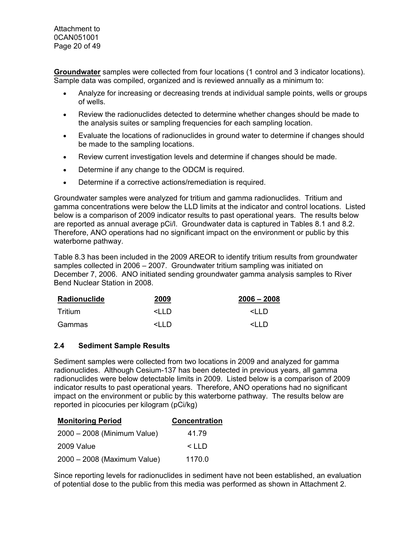Attachment to 0CAN051001 Page 20 of 49

**Groundwater** samples were collected from four locations (1 control and 3 indicator locations). Sample data was compiled, organized and is reviewed annually as a minimum to:

- Analyze for increasing or decreasing trends at individual sample points, wells or groups of wells.
- Review the radionuclides detected to determine whether changes should be made to the analysis suites or sampling frequencies for each sampling location.
- Evaluate the locations of radionuclides in ground water to determine if changes should be made to the sampling locations.
- Review current investigation levels and determine if changes should be made.
- Determine if any change to the ODCM is required.
- Determine if a corrective actions/remediation is required.

Groundwater samples were analyzed for tritium and gamma radionuclides. Tritium and gamma concentrations were below the LLD limits at the indicator and control locations. Listed below is a comparison of 2009 indicator results to past operational years. The results below are reported as annual average pCi/l. Groundwater data is captured in Tables 8.1 and 8.2. Therefore, ANO operations had no significant impact on the environment or public by this waterborne pathway.

Table 8.3 has been included in the 2009 AREOR to identify tritium results from groundwater samples collected in 2006 – 2007. Groundwater tritium sampling was initiated on December 7, 2006. ANO initiated sending groundwater gamma analysis samples to River Bend Nuclear Station in 2008.

| Radionuclide | 2009                                                      | $2006 - 2008$            |
|--------------|-----------------------------------------------------------|--------------------------|
| Tritium      | <iid< td=""><td><math>\leq</math>l I D</td></iid<>        | $\leq$ l I D             |
| Gammas       | <i d<="" i="" td=""><td><i d<="" i="" td=""></i></td></i> | <i d<="" i="" td=""></i> |

#### **2.4 Sediment Sample Results**

Sediment samples were collected from two locations in 2009 and analyzed for gamma radionuclides. Although Cesium-137 has been detected in previous years, all gamma radionuclides were below detectable limits in 2009. Listed below is a comparison of 2009 indicator results to past operational years. Therefore, ANO operations had no significant impact on the environment or public by this waterborne pathway. The results below are reported in picocuries per kilogram (pCi/kg)

| <b>Monitoring Period</b>    | <b>Concentration</b> |
|-----------------------------|----------------------|
| 2000 - 2008 (Minimum Value) | 41.79                |
| 2009 Value                  | $\leq$ IID           |
| 2000 - 2008 (Maximum Value) | 1170.0               |

Since reporting levels for radionuclides in sediment have not been established, an evaluation of potential dose to the public from this media was performed as shown in Attachment 2.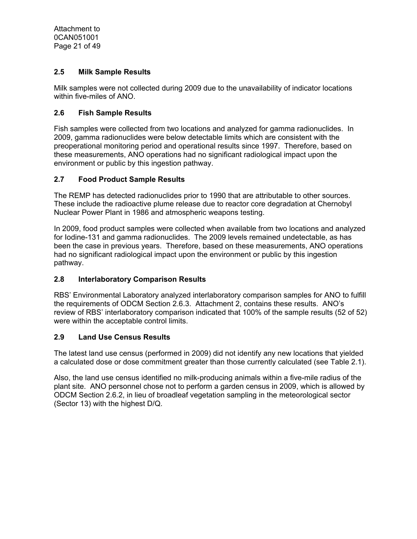# **2.5 Milk Sample Results**

Milk samples were not collected during 2009 due to the unavailability of indicator locations within five-miles of ANO.

## **2.6 Fish Sample Results**

Fish samples were collected from two locations and analyzed for gamma radionuclides. In 2009, gamma radionuclides were below detectable limits which are consistent with the preoperational monitoring period and operational results since 1997. Therefore, based on these measurements, ANO operations had no significant radiological impact upon the environment or public by this ingestion pathway.

## **2.7 Food Product Sample Results**

The REMP has detected radionuclides prior to 1990 that are attributable to other sources. These include the radioactive plume release due to reactor core degradation at Chernobyl Nuclear Power Plant in 1986 and atmospheric weapons testing.

In 2009, food product samples were collected when available from two locations and analyzed for Iodine-131 and gamma radionuclides. The 2009 levels remained undetectable, as has been the case in previous years. Therefore, based on these measurements, ANO operations had no significant radiological impact upon the environment or public by this ingestion pathway.

## **2.8 Interlaboratory Comparison Results**

RBS' Environmental Laboratory analyzed interlaboratory comparison samples for ANO to fulfill the requirements of ODCM Section 2.6.3. Attachment 2, contains these results. ANO's review of RBS' interlaboratory comparison indicated that 100% of the sample results (52 of 52) were within the acceptable control limits.

## **2.9 Land Use Census Results**

The latest land use census (performed in 2009) did not identify any new locations that yielded a calculated dose or dose commitment greater than those currently calculated (see Table 2.1).

Also, the land use census identified no milk-producing animals within a five-mile radius of the plant site. ANO personnel chose not to perform a garden census in 2009, which is allowed by ODCM Section 2.6.2, in lieu of broadleaf vegetation sampling in the meteorological sector (Sector 13) with the highest D/Q.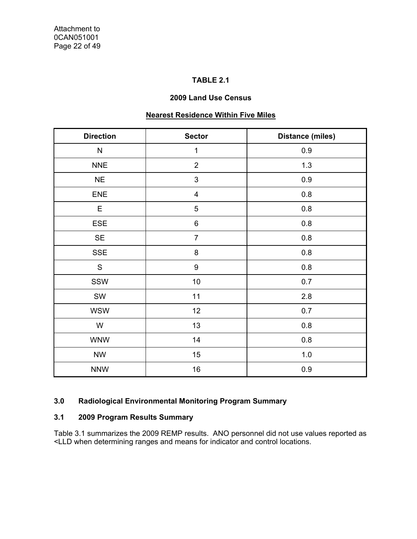# **TABLE 2.1**

### **2009 Land Use Census**

# **Nearest Residence Within Five Miles**

| <b>Direction</b> | <b>Sector</b>           | <b>Distance (miles)</b> |  |  |
|------------------|-------------------------|-------------------------|--|--|
| ${\sf N}$        | 1                       | 0.9                     |  |  |
| <b>NNE</b>       | $\overline{2}$          | 1.3                     |  |  |
| <b>NE</b>        | $\mathfrak{S}$          | 0.9                     |  |  |
| ENE              | $\overline{\mathbf{4}}$ | $0.8\,$                 |  |  |
| E                | $\overline{5}$          | 0.8                     |  |  |
| ESE              | $\,6$                   | 0.8                     |  |  |
| <b>SE</b>        | $\overline{7}$          | 0.8                     |  |  |
| <b>SSE</b>       | $\bf 8$                 | 0.8                     |  |  |
| ${\mathsf S}$    | 9                       | 0.8                     |  |  |
| SSW              | 10                      | 0.7                     |  |  |
| SW               | 11                      | 2.8                     |  |  |
| <b>WSW</b>       | 12                      | 0.7                     |  |  |
| W                | 13                      | 0.8                     |  |  |
| <b>WNW</b>       | 14                      | 0.8                     |  |  |
| <b>NW</b>        | 15                      | $1.0$                   |  |  |
| <b>NNW</b>       | 16                      | 0.9                     |  |  |

# **3.0 Radiological Environmental Monitoring Program Summary**

# **3.1 2009 Program Results Summary**

Table 3.1 summarizes the 2009 REMP results. ANO personnel did not use values reported as <LLD when determining ranges and means for indicator and control locations.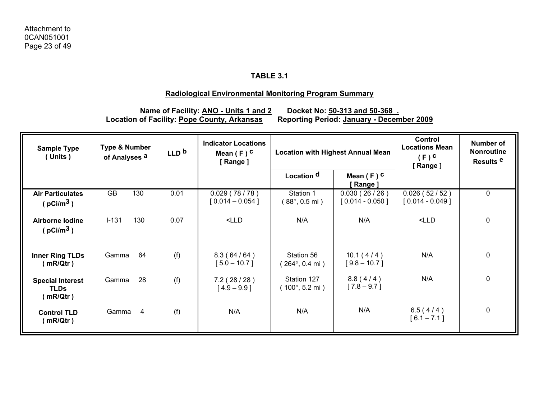## **Radiological Environmental Monitoring Program Summary**

**Location of Facility: Pope County, Arkansas** 

Name of Facility: **ANO - Units 1 and 2** Docket No: 50-313 and 50-368 .<br>of Facility: Pope County, Arkansas Reporting Period: January - December 2009

| <b>Sample Type</b><br>(Units)                      | <b>Type &amp; Number</b><br>of Analyses <sup>a</sup> | LLD <sub>b</sub> | <b>Indicator Locations</b><br>Mean $(F)$ C<br>[Range] | <b>Location with Highest Annual Mean</b>       |                                   | Control<br><b>Locations Mean</b><br>$(F)$ <sup>C</sup><br>[Range] | Number of<br><b>Nonroutine</b><br>Results <sup>e</sup> |
|----------------------------------------------------|------------------------------------------------------|------------------|-------------------------------------------------------|------------------------------------------------|-----------------------------------|-------------------------------------------------------------------|--------------------------------------------------------|
|                                                    |                                                      |                  |                                                       | Location <sup>d</sup>                          | Mean $(F)$ C<br>[Range]           |                                                                   |                                                        |
| <b>Air Particulates</b><br>( $pCi/m3$ )            | <b>GB</b><br>130                                     | 0.01             | 0.029(78/78)<br>$[0.014 - 0.054]$                     | Station 1<br>$(88^{\circ}, 0.5 \text{ mi})$    | 0.030(26/26)<br>$[0.014 - 0.050]$ | 0.026(52/52)<br>$[0.014 - 0.049]$                                 | 0                                                      |
| <b>Airborne lodine</b><br>( $pCi/m3$ )             | $I-131$<br>130                                       | 0.07             | $<$ LLD                                               | N/A                                            | N/A                               | $<$ LLD                                                           | 0                                                      |
| <b>Inner Ring TLDs</b><br>(mR/Qtr)                 | 64<br>Gamma                                          | (f)              | 8.3(64/64)<br>$[5.0 - 10.7]$                          | Station 56<br>$264^{\circ}$ , 0.4 mi)          | 10.1(4/4)<br>$[9.8 - 10.7]$       | N/A                                                               | $\mathbf 0$                                            |
| <b>Special Interest</b><br><b>TLDs</b><br>(mR/Qtr) | 28<br>Gamma                                          | (f)              | 7.2(28/28)<br>$[4.9 - 9.9]$                           | Station 127<br>$(100^{\circ}, 5.2 \text{ mi})$ | 8.8(4/4)<br>$[7.8 - 9.7]$         | N/A                                                               | 0                                                      |
| <b>Control TLD</b><br>(mR/Qtr)                     | Gamma<br>$\overline{4}$                              | (f)              | N/A                                                   | N/A                                            | N/A                               | 6.5(4/4)<br>$[6.1 - 7.1]$                                         | 0                                                      |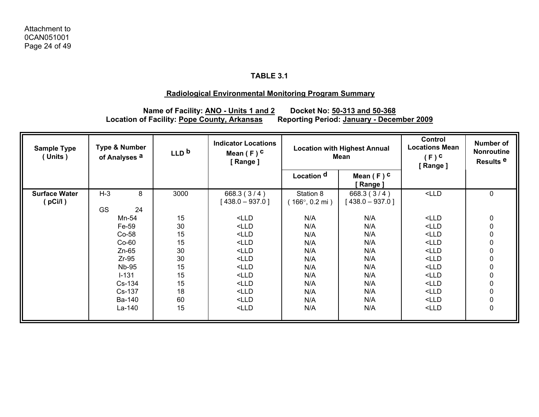## **Radiological Environmental Monitoring Program Summary**

**Name of Facility: ANO - Units 1 and 2 Docket No: 50-313 and 50-368 Location of Facility: Pope County, Arkansas Reporting Period: January - December 2009**

| <b>Sample Type</b><br>(Units)   | <b>Type &amp; Number</b><br>of Analyses <sup>a</sup>                                                                  | LLD <sub>b</sub>                                               | <b>Indicator Locations</b><br>Mean $(F)$ C<br>[Range]                                                                                                                                                                                                                                                                                                                                                                                                                                                                                                                                                                                                                                                                                                                                                                                                                                                                                                                                                                                                        | <b>Location with Highest Annual</b><br>Mean                               |                                                                           | <b>Control</b><br><b>Locations Mean</b><br>$(F)$ <sup>C</sup><br>[Range]                                              | Number of<br>Nonroutine<br>Results <sup>e</sup>                                                                             |
|---------------------------------|-----------------------------------------------------------------------------------------------------------------------|----------------------------------------------------------------|--------------------------------------------------------------------------------------------------------------------------------------------------------------------------------------------------------------------------------------------------------------------------------------------------------------------------------------------------------------------------------------------------------------------------------------------------------------------------------------------------------------------------------------------------------------------------------------------------------------------------------------------------------------------------------------------------------------------------------------------------------------------------------------------------------------------------------------------------------------------------------------------------------------------------------------------------------------------------------------------------------------------------------------------------------------|---------------------------------------------------------------------------|---------------------------------------------------------------------------|-----------------------------------------------------------------------------------------------------------------------|-----------------------------------------------------------------------------------------------------------------------------|
|                                 |                                                                                                                       |                                                                |                                                                                                                                                                                                                                                                                                                                                                                                                                                                                                                                                                                                                                                                                                                                                                                                                                                                                                                                                                                                                                                              | Location <sup>d</sup>                                                     | Mean $(F)$ C<br>[ Range ]                                                 |                                                                                                                       |                                                                                                                             |
| <b>Surface Water</b><br>(pCi/l) | $H-3$<br>8<br><b>GS</b><br>24                                                                                         | 3000                                                           | 668.3(3/4)<br>$[438.0 - 937.0]$                                                                                                                                                                                                                                                                                                                                                                                                                                                                                                                                                                                                                                                                                                                                                                                                                                                                                                                                                                                                                              | Station 8<br>$166^{\circ}$ , 0.2 mi)                                      | 668.3 $(3/4)$<br>  438.0 – 937.0 ]                                        | $<$ LLD                                                                                                               | $\mathbf 0$                                                                                                                 |
|                                 | Mn-54<br>Fe-59<br>$Co-58$<br>$Co-60$<br>$Zn-65$<br>$Zr-95$<br><b>Nb-95</b><br>$I - 131$<br>Cs-134<br>Cs-137<br>Ba-140 | 15<br>30<br>15<br>15<br>30<br>30<br>15<br>15<br>15<br>18<br>60 | $<$ LLD<br>$<$ LLD<br>$<$ LLD<br>$<$ LLD<br>$<$ LLD<br>$<$ LLD<br>$<$ LLD<br><lld<br><math>&lt;</math>LLD<br/><math>&lt;</math>LLD<br/><lld< td=""><td>N/A<br/>N/A<br/>N/A<br/>N/A<br/>N/A<br/>N/A<br/>N/A<br/>N/A<br/>N/A<br/>N/A<br/>N/A</td><td>N/A<br/>N/A<br/>N/A<br/>N/A<br/>N/A<br/>N/A<br/>N/A<br/>N/A<br/>N/A<br/>N/A<br/>N/A</td><td><math>&lt;</math>LLD<br/><math>&lt;</math>LLD<br/><math>&lt;</math>LLD<br/><math>&lt;</math>LLD<br/><math>&lt;</math>LLD<br/><math>&lt;</math>LLD<br/><math>&lt;</math>LLD<br/><math>&lt;</math>LLD<br/><math>&lt;</math>LLD<br/><math>&lt;</math>LLD<br/><math>&lt;</math>LLD</td><td>0<br/><math display="inline">\pmb{0}</math><br/><math display="inline">\pmb{0}</math><br/><math display="inline">\pmb{0}</math><br/><math display="inline">\pmb{0}</math><br/><math display="inline">\pmb{0}</math><br/><math display="inline">\pmb{0}</math><br/><math display="inline">\pmb{0}</math><br/><math display="inline">\pmb{0}</math><br/>0<br/><math display="inline">\pmb{0}</math></td></lld<></lld<br> | N/A<br>N/A<br>N/A<br>N/A<br>N/A<br>N/A<br>N/A<br>N/A<br>N/A<br>N/A<br>N/A | N/A<br>N/A<br>N/A<br>N/A<br>N/A<br>N/A<br>N/A<br>N/A<br>N/A<br>N/A<br>N/A | $<$ LLD<br>$<$ LLD<br>$<$ LLD<br>$<$ LLD<br>$<$ LLD<br>$<$ LLD<br>$<$ LLD<br>$<$ LLD<br>$<$ LLD<br>$<$ LLD<br>$<$ LLD | 0<br>$\pmb{0}$<br>$\pmb{0}$<br>$\pmb{0}$<br>$\pmb{0}$<br>$\pmb{0}$<br>$\pmb{0}$<br>$\pmb{0}$<br>$\pmb{0}$<br>0<br>$\pmb{0}$ |
|                                 | La-140                                                                                                                | 15                                                             | $<$ LLD                                                                                                                                                                                                                                                                                                                                                                                                                                                                                                                                                                                                                                                                                                                                                                                                                                                                                                                                                                                                                                                      | N/A                                                                       | N/A                                                                       | $<$ LLD                                                                                                               | $\mathbf 0$                                                                                                                 |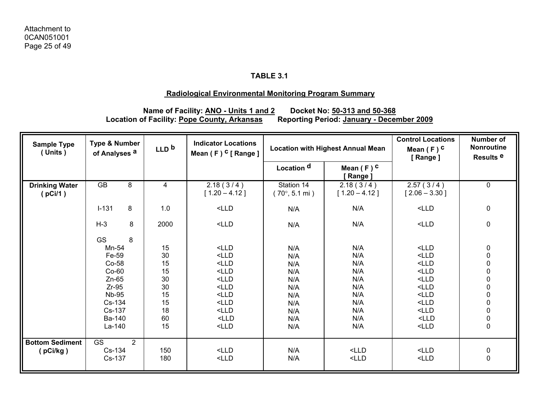# **Radiological Environmental Monitoring Program Summary**

**Name of Facility: ANO - Units 1 and 2 Docket No: 50-313 and 50-368 Location of Facility: Pope County, Arkansas Reporting Period: January - December 2009**

| <b>Sample Type</b><br>(Units)    | <b>Type &amp; Number</b><br>of Analyses <sup>a</sup> |                | LLD <sub>b</sub> | <b>Indicator Locations</b><br>Mean $(F)$ <sup>C</sup> [ Range ] |                                              | <b>Location with Highest Annual Mean</b> |                              | Number of<br><b>Nonroutine</b><br>Results <sup>e</sup> |
|----------------------------------|------------------------------------------------------|----------------|------------------|-----------------------------------------------------------------|----------------------------------------------|------------------------------------------|------------------------------|--------------------------------------------------------|
|                                  |                                                      |                |                  |                                                                 | Location <sup>d</sup>                        | Mean $(F)$ C<br>[Range]                  |                              |                                                        |
| <b>Drinking Water</b><br>(pCi/1) | <b>GB</b>                                            | 8              | 4                | 2.18(3/4)<br>$[1.20 - 4.12]$                                    | Station 14<br>$(70^{\circ}, 5.1 \text{ mi})$ | 2.18(3/4)<br>$[1.20 - 4.12]$             | 2.57(3/4)<br>$[2.06 - 3.30]$ | $\mathbf 0$                                            |
|                                  | $I-131$                                              | 8              | 1.0              | $<$ LLD                                                         | N/A                                          | N/A                                      | $<$ LLD                      | $\pmb{0}$                                              |
|                                  | $H-3$                                                | 8              | 2000             | $<$ LLD                                                         | N/A                                          | N/A                                      | $<$ LLD                      | $\pmb{0}$                                              |
|                                  | <b>GS</b>                                            | 8              |                  |                                                                 |                                              |                                          |                              |                                                        |
|                                  | Mn-54                                                |                | 15               | $<$ LLD                                                         | N/A                                          | N/A                                      | $<$ LLD                      | $\pmb{0}$                                              |
|                                  | Fe-59                                                |                | 30               | $<$ LLD                                                         | N/A                                          | N/A                                      | $<$ LLD                      | $\pmb{0}$                                              |
|                                  | Co-58                                                |                | 15               | $<$ LLD                                                         | N/A                                          | N/A                                      | $<$ LLD                      |                                                        |
|                                  | $Co-60$                                              |                | 15               | $<$ LLD                                                         | N/A                                          | N/A                                      | $<$ LLD                      | 000000000                                              |
|                                  | $Zn-65$                                              |                | 30               | $<$ LLD                                                         | N/A                                          | N/A                                      | $<$ LLD                      |                                                        |
|                                  | $Zr-95$                                              |                | 30               | $<$ LLD                                                         | N/A                                          | N/A                                      | $<$ LLD                      |                                                        |
|                                  | <b>Nb-95</b>                                         |                | 15               | $<$ LLD                                                         | N/A                                          | N/A                                      | $<$ LLD                      |                                                        |
|                                  | Cs-134                                               |                | 15               | $<$ LLD                                                         | N/A                                          | N/A                                      | $<$ LLD                      |                                                        |
|                                  | Cs-137                                               |                | 18               | $<$ LLD                                                         | N/A                                          | N/A                                      | $<$ LLD                      |                                                        |
|                                  | Ba-140                                               |                | 60               | $<$ LLD                                                         | N/A                                          | N/A                                      | $<$ LLD                      |                                                        |
|                                  | $La-140$                                             |                | 15               | $<$ LLD                                                         | N/A                                          | N/A                                      | $<$ LLD                      |                                                        |
| <b>Bottom Sediment</b>           | <b>GS</b>                                            | $\overline{2}$ |                  |                                                                 |                                              |                                          |                              |                                                        |
| $($ pCi/kg $)$                   | Cs-134                                               |                | 150              | $<$ LLD                                                         | N/A                                          | $<$ LLD                                  | $<$ LLD                      | $\begin{smallmatrix}0\\0\end{smallmatrix}$             |
|                                  | Cs-137                                               |                | 180              | $<$ LLD                                                         | N/A                                          | $<$ LLD                                  | $<$ LLD                      |                                                        |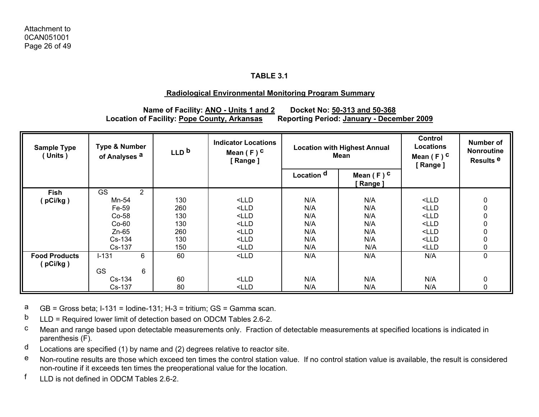## **Radiological Environmental Monitoring Program Summary**

# **Name of Facility: ANO - Units 1 and 2 Docket No: 50-313 and 50-368** Location of Facility: Pope County, Arkansas Reporting Period: January - December 2009

| <b>Sample Type</b><br>(Units)    | <b>Type &amp; Number</b><br>of Analyses <sup>a</sup> | LLD <sub>b</sub> | <b>Indicator Locations</b><br>Mean $(F)$ C<br>[Range] | <b>Location with Highest Annual</b><br>Mean |                         |         |                  | Control<br>Locations<br>Mean $(F)$ C<br>[Range] | Number of<br><b>Nonroutine</b><br>Results <sup>e</sup> |
|----------------------------------|------------------------------------------------------|------------------|-------------------------------------------------------|---------------------------------------------|-------------------------|---------|------------------|-------------------------------------------------|--------------------------------------------------------|
|                                  |                                                      |                  |                                                       | Location <sup>d</sup>                       | Mean $(F)$ C<br>[Range] |         |                  |                                                 |                                                        |
| Fish                             | <b>GS</b><br>2                                       |                  |                                                       |                                             |                         |         |                  |                                                 |                                                        |
| [pCi/kg]                         | Mn-54                                                | 130              | $<$ LLD                                               | N/A                                         | N/A                     | $<$ LLD | 0                |                                                 |                                                        |
|                                  | Fe-59                                                | 260              | $<$ LLD                                               | N/A                                         | N/A                     | $<$ LLD | $\mathbf 0$      |                                                 |                                                        |
|                                  | $Co-58$                                              | 130              | $<$ LLD                                               | N/A                                         | N/A                     | $<$ LLD | $\boldsymbol{0}$ |                                                 |                                                        |
|                                  | $Co-60$                                              | 130              | $<$ LLD                                               | N/A                                         | N/A                     | $<$ LLD | $\boldsymbol{0}$ |                                                 |                                                        |
|                                  | $Zn-65$                                              | 260              | $<$ LLD                                               | N/A                                         | N/A                     | $<$ LLD | $\mathbf 0$      |                                                 |                                                        |
|                                  | Cs-134                                               | 130              | $<$ LLD                                               | N/A                                         | N/A                     | $<$ LLD | $\boldsymbol{0}$ |                                                 |                                                        |
|                                  | Cs-137                                               | 150              | $<$ LLD                                               | N/A                                         | N/A                     | $<$ LLD | $\mathbf 0$      |                                                 |                                                        |
| <b>Food Products</b><br>(pCi/kg) | 6<br>$I-131$                                         | 60               | $<$ LLD                                               | N/A                                         | N/A                     | N/A     | $\mathbf 0$      |                                                 |                                                        |
|                                  | <b>GS</b><br>6                                       |                  |                                                       |                                             |                         |         |                  |                                                 |                                                        |
|                                  | $Cs-134$                                             | 60               | $<$ LLD                                               | N/A                                         | N/A                     | N/A     | $\mathbf 0$      |                                                 |                                                        |
|                                  | Cs-137                                               | 80               | $<$ LLD                                               | N/A                                         | N/A                     | N/A     | 0                |                                                 |                                                        |

aGB = Gross beta; I-131 = Iodine-131; H-3 = tritium; GS = Gamma scan.

 $b$  LLD = Required lower limit of detection based on ODCM Tables 2.6-2.

- c Mean and range based upon detectable measurements only. Fraction of detectable measurements at specified locations is indicated in parenthesis (F).
- $d$  Locations are specified (1) by name and (2) degrees relative to reactor site.
- e Non-routine results are those which exceed ten times the control station value. If no control station value is available, the result is considered non-routine if it exceeds ten times the preoperational value for the location.
- f LLD is not defined in ODCM Tables 2.6-2.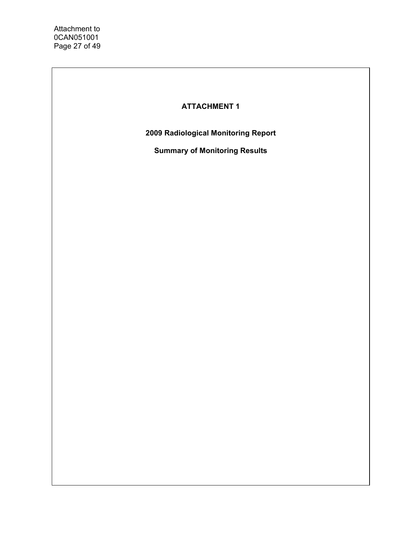Attachment to 0CAN051001 Page 27 of 49

# **ATTACHMENT 1**

**2009 Radiological Monitoring Report** 

**Summary of Monitoring Results**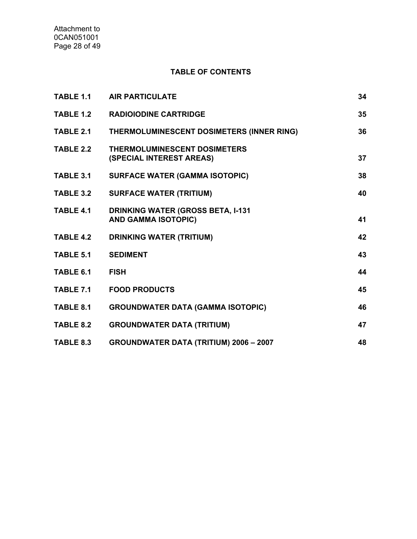# **TABLE OF CONTENTS**

| TABLE 1.1        | <b>AIR PARTICULATE</b>                                                 | 34 |
|------------------|------------------------------------------------------------------------|----|
| TABLE 1.2        | <b>RADIOIODINE CARTRIDGE</b>                                           | 35 |
| TABLE 2.1        | THERMOLUMINESCENT DOSIMETERS (INNER RING)                              | 36 |
| TABLE 2.2        | <b>THERMOLUMINESCENT DOSIMETERS</b><br>(SPECIAL INTEREST AREAS)        | 37 |
| TABLE 3.1        | <b>SURFACE WATER (GAMMA ISOTOPIC)</b>                                  | 38 |
| <b>TABLE 3.2</b> | <b>SURFACE WATER (TRITIUM)</b>                                         | 40 |
| <b>TABLE 4.1</b> | <b>DRINKING WATER (GROSS BETA, I-131</b><br><b>AND GAMMA ISOTOPIC)</b> | 41 |
| <b>TABLE 4.2</b> | <b>DRINKING WATER (TRITIUM)</b>                                        | 42 |
| <b>TABLE 5.1</b> | <b>SEDIMENT</b>                                                        | 43 |
| TABLE 6.1        | <b>FISH</b>                                                            | 44 |
| TABLE 7.1        | <b>FOOD PRODUCTS</b>                                                   | 45 |
| TABLE 8.1        | <b>GROUNDWATER DATA (GAMMA ISOTOPIC)</b>                               | 46 |
| <b>TABLE 8.2</b> | <b>GROUNDWATER DATA (TRITIUM)</b>                                      | 47 |
| TABLE 8.3        | <b>GROUNDWATER DATA (TRITIUM) 2006 - 2007</b>                          | 48 |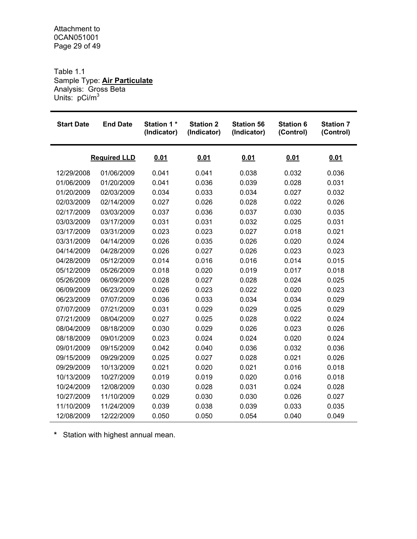Table 1.1 Sample Type: **Air Particulate** Analysis: Gross Beta Units: pCi/m<sup>3</sup>

| <b>Start Date</b> | <b>End Date</b>     | <b>Station 1*</b><br>(Indicator) | <b>Station 2</b><br>(Indicator) | <b>Station 56</b><br>(Indicator) | <b>Station 6</b><br>(Control) | <b>Station 7</b><br>(Control) |
|-------------------|---------------------|----------------------------------|---------------------------------|----------------------------------|-------------------------------|-------------------------------|
|                   | <b>Required LLD</b> | 0.01                             | 0.01                            | 0.01                             | 0.01                          | 0.01                          |
| 12/29/2008        | 01/06/2009          | 0.041                            | 0.041                           | 0.038                            | 0.032                         | 0.036                         |
| 01/06/2009        | 01/20/2009          | 0.041                            | 0.036                           | 0.039                            | 0.028                         | 0.031                         |
| 01/20/2009        | 02/03/2009          | 0.034                            | 0.033                           | 0.034                            | 0.027                         | 0.032                         |
| 02/03/2009        | 02/14/2009          | 0.027                            | 0.026                           | 0.028                            | 0.022                         | 0.026                         |
| 02/17/2009        | 03/03/2009          | 0.037                            | 0.036                           | 0.037                            | 0.030                         | 0.035                         |
| 03/03/2009        | 03/17/2009          | 0.031                            | 0.031                           | 0.032                            | 0.025                         | 0.031                         |
| 03/17/2009        | 03/31/2009          | 0.023                            | 0.023                           | 0.027                            | 0.018                         | 0.021                         |
| 03/31/2009        | 04/14/2009          | 0.026                            | 0.035                           | 0.026                            | 0.020                         | 0.024                         |
| 04/14/2009        | 04/28/2009          | 0.026                            | 0.027                           | 0.026                            | 0.023                         | 0.023                         |
| 04/28/2009        | 05/12/2009          | 0.014                            | 0.016                           | 0.016                            | 0.014                         | 0.015                         |
| 05/12/2009        | 05/26/2009          | 0.018                            | 0.020                           | 0.019                            | 0.017                         | 0.018                         |
| 05/26/2009        | 06/09/2009          | 0.028                            | 0.027                           | 0.028                            | 0.024                         | 0.025                         |
| 06/09/2009        | 06/23/2009          | 0.026                            | 0.023                           | 0.022                            | 0.020                         | 0.023                         |
| 06/23/2009        | 07/07/2009          | 0.036                            | 0.033                           | 0.034                            | 0.034                         | 0.029                         |
| 07/07/2009        | 07/21/2009          | 0.031                            | 0.029                           | 0.029                            | 0.025                         | 0.029                         |
| 07/21/2009        | 08/04/2009          | 0.027                            | 0.025                           | 0.028                            | 0.022                         | 0.024                         |
| 08/04/2009        | 08/18/2009          | 0.030                            | 0.029                           | 0.026                            | 0.023                         | 0.026                         |
| 08/18/2009        | 09/01/2009          | 0.023                            | 0.024                           | 0.024                            | 0.020                         | 0.024                         |
| 09/01/2009        | 09/15/2009          | 0.042                            | 0.040                           | 0.036                            | 0.032                         | 0.036                         |
| 09/15/2009        | 09/29/2009          | 0.025                            | 0.027                           | 0.028                            | 0.021                         | 0.026                         |
| 09/29/2009        | 10/13/2009          | 0.021                            | 0.020                           | 0.021                            | 0.016                         | 0.018                         |
| 10/13/2009        | 10/27/2009          | 0.019                            | 0.019                           | 0.020                            | 0.016                         | 0.018                         |
| 10/24/2009        | 12/08/2009          | 0.030                            | 0.028                           | 0.031                            | 0.024                         | 0.028                         |
| 10/27/2009        | 11/10/2009          | 0.029                            | 0.030                           | 0.030                            | 0.026                         | 0.027                         |
| 11/10/2009        | 11/24/2009          | 0.039                            | 0.038                           | 0.039                            | 0.033                         | 0.035                         |
| 12/08/2009        | 12/22/2009          | 0.050                            | 0.050                           | 0.054                            | 0.040                         | 0.049                         |

**\*** Station with highest annual mean.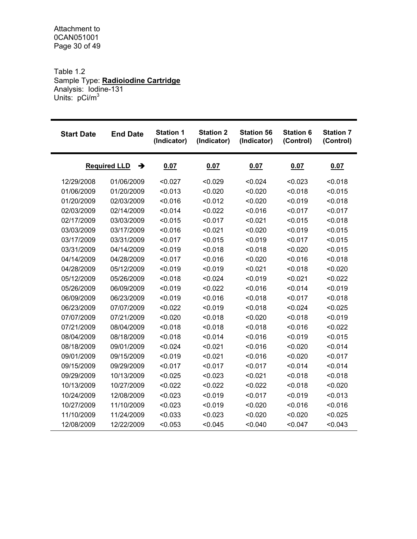Attachment to 0CAN051001 Page 30 of 49

### Table 1.2 Sample Type: **Radioiodine Cartridge** Analysis: Iodine-131 Units: pCi/m<sup>3</sup>

| <b>Start Date</b> | <b>End Date</b>          | <b>Station 1</b><br>(Indicator) | <b>Station 2</b><br>(Indicator) | <b>Station 56</b><br>(Indicator) | <b>Station 6</b><br>(Control) | <b>Station 7</b><br>(Control) |
|-------------------|--------------------------|---------------------------------|---------------------------------|----------------------------------|-------------------------------|-------------------------------|
|                   | →<br><b>Required LLD</b> | 0.07                            | 0.07                            | 0.07                             | 0.07                          | 0.07                          |
| 12/29/2008        | 01/06/2009               | < 0.027                         | < 0.029                         | < 0.024                          | < 0.023                       | < 0.018                       |
| 01/06/2009        | 01/20/2009               | < 0.013                         | < 0.020                         | < 0.020                          | < 0.018                       | < 0.015                       |
| 01/20/2009        | 02/03/2009               | < 0.016                         | < 0.012                         | < 0.020                          | < 0.019                       | < 0.018                       |
| 02/03/2009        | 02/14/2009               | < 0.014                         | < 0.022                         | < 0.016                          | < 0.017                       | < 0.017                       |
| 02/17/2009        | 03/03/2009               | < 0.015                         | < 0.017                         | < 0.021                          | < 0.015                       | < 0.018                       |
| 03/03/2009        | 03/17/2009               | < 0.016                         | < 0.021                         | < 0.020                          | < 0.019                       | < 0.015                       |
| 03/17/2009        | 03/31/2009               | < 0.017                         | < 0.015                         | < 0.019                          | < 0.017                       | < 0.015                       |
| 03/31/2009        | 04/14/2009               | < 0.019                         | < 0.018                         | < 0.018                          | < 0.020                       | < 0.015                       |
| 04/14/2009        | 04/28/2009               | < 0.017                         | < 0.016                         | < 0.020                          | < 0.016                       | < 0.018                       |
| 04/28/2009        | 05/12/2009               | < 0.019                         | < 0.019                         | < 0.021                          | < 0.018                       | < 0.020                       |
| 05/12/2009        | 05/26/2009               | < 0.018                         | < 0.024                         | < 0.019                          | < 0.021                       | < 0.022                       |
| 05/26/2009        | 06/09/2009               | < 0.019                         | < 0.022                         | < 0.016                          | < 0.014                       | < 0.019                       |
| 06/09/2009        | 06/23/2009               | < 0.019                         | < 0.016                         | < 0.018                          | < 0.017                       | < 0.018                       |
| 06/23/2009        | 07/07/2009               | < 0.022                         | < 0.019                         | < 0.018                          | < 0.024                       | < 0.025                       |
| 07/07/2009        | 07/21/2009               | < 0.020                         | < 0.018                         | < 0.020                          | < 0.018                       | < 0.019                       |
| 07/21/2009        | 08/04/2009               | < 0.018                         | < 0.018                         | < 0.018                          | < 0.016                       | < 0.022                       |
| 08/04/2009        | 08/18/2009               | < 0.018                         | < 0.014                         | < 0.016                          | < 0.019                       | < 0.015                       |
| 08/18/2009        | 09/01/2009               | < 0.024                         | < 0.021                         | < 0.016                          | < 0.020                       | < 0.014                       |
| 09/01/2009        | 09/15/2009               | < 0.019                         | < 0.021                         | < 0.016                          | < 0.020                       | < 0.017                       |
| 09/15/2009        | 09/29/2009               | < 0.017                         | < 0.017                         | < 0.017                          | < 0.014                       | < 0.014                       |
| 09/29/2009        | 10/13/2009               | < 0.025                         | < 0.023                         | < 0.021                          | < 0.018                       | < 0.018                       |
| 10/13/2009        | 10/27/2009               | < 0.022                         | < 0.022                         | < 0.022                          | < 0.018                       | < 0.020                       |
| 10/24/2009        | 12/08/2009               | < 0.023                         | < 0.019                         | < 0.017                          | < 0.019                       | < 0.013                       |
| 10/27/2009        | 11/10/2009               | < 0.023                         | < 0.019                         | < 0.020                          | < 0.016                       | < 0.016                       |
| 11/10/2009        | 11/24/2009               | < 0.033                         | < 0.023                         | < 0.020                          | < 0.020                       | < 0.025                       |
| 12/08/2009        | 12/22/2009               | < 0.053                         | < 0.045                         | < 0.040                          | < 0.047                       | < 0.043                       |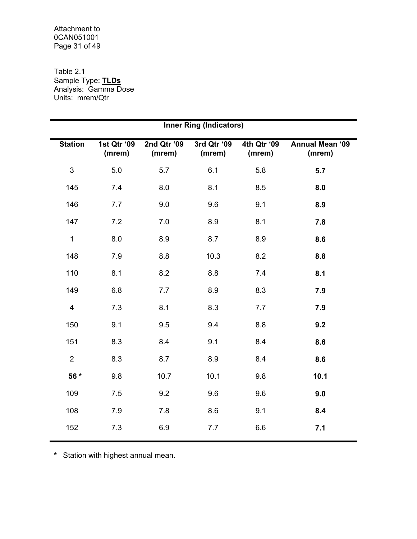### Attachment to 0CAN051001 Page 31 of 49

### Table 2.1 Sample Type: **TLDs** Analysis: Gamma Dose Units: mrem/Qtr

| <b>Inner Ring (Indicators)</b> |                       |                       |                       |                       |                                  |  |  |  |  |  |
|--------------------------------|-----------------------|-----------------------|-----------------------|-----------------------|----------------------------------|--|--|--|--|--|
| <b>Station</b>                 | 1st Qtr '09<br>(mrem) | 2nd Qtr '09<br>(mrem) | 3rd Qtr '09<br>(mrem) | 4th Qtr '09<br>(mrem) | <b>Annual Mean '09</b><br>(mrem) |  |  |  |  |  |
| 3                              | 5.0                   | 5.7                   | 6.1                   | 5.8                   | 5.7                              |  |  |  |  |  |
| 145                            | 7.4                   | 8.0                   | 8.1                   | 8.5                   | 8.0                              |  |  |  |  |  |
| 146                            | 7.7                   | 9.0                   | 9.6                   | 9.1                   | 8.9                              |  |  |  |  |  |
| 147                            | 7.2                   | 7.0                   | 8.9                   | 8.1                   | 7.8                              |  |  |  |  |  |
| $\mathbf 1$                    | 8.0                   | 8.9                   | 8.7                   | 8.9                   | 8.6                              |  |  |  |  |  |
| 148                            | 7.9                   | 8.8                   | 10.3                  | 8.2                   | 8.8                              |  |  |  |  |  |
| 110                            | 8.1                   | 8.2                   | 8.8                   | 7.4                   | 8.1                              |  |  |  |  |  |
| 149                            | 6.8                   | 7.7                   | 8.9                   | 8.3                   | 7.9                              |  |  |  |  |  |
| $\overline{4}$                 | 7.3                   | 8.1                   | 8.3                   | 7.7                   | 7.9                              |  |  |  |  |  |
| 150                            | 9.1                   | 9.5                   | 9.4                   | 8.8                   | 9.2                              |  |  |  |  |  |
| 151                            | 8.3                   | 8.4                   | 9.1                   | 8.4                   | 8.6                              |  |  |  |  |  |
| $\overline{2}$                 | 8.3                   | 8.7                   | 8.9                   | 8.4                   | 8.6                              |  |  |  |  |  |
| 56 *                           | 9.8                   | 10.7                  | 10.1                  | 9.8                   | 10.1                             |  |  |  |  |  |
| 109                            | 7.5                   | 9.2                   | 9.6                   | 9.6                   | 9.0                              |  |  |  |  |  |
| 108                            | 7.9                   | 7.8                   | 8.6                   | 9.1                   | 8.4                              |  |  |  |  |  |
| 152                            | 7.3                   | 6.9                   | 7.7                   | 6.6                   | 7.1                              |  |  |  |  |  |
|                                |                       |                       |                       |                       |                                  |  |  |  |  |  |

**\*** Station with highest annual mean.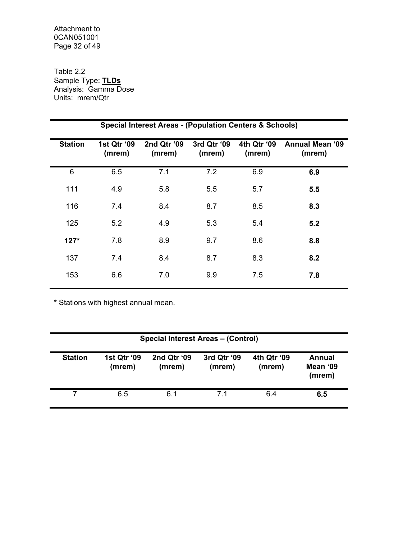### Attachment to 0CAN051001 Page 32 of 49

Table 2.2 Sample Type: **TLDs** Analysis: Gamma Dose Units: mrem/Qtr

|                | <b>Special Interest Areas - (Population Centers &amp; Schools)</b> |                       |                       |                       |                                  |  |  |  |  |  |  |  |
|----------------|--------------------------------------------------------------------|-----------------------|-----------------------|-----------------------|----------------------------------|--|--|--|--|--|--|--|
| <b>Station</b> | 1st Qtr '09<br>(mrem)                                              | 2nd Qtr '09<br>(mrem) | 3rd Qtr '09<br>(mrem) | 4th Qtr '09<br>(mrem) | <b>Annual Mean '09</b><br>(mrem) |  |  |  |  |  |  |  |
| 6              | 6.5                                                                | 7.1                   | 7.2                   | 6.9                   | 6.9                              |  |  |  |  |  |  |  |
| 111            | 4.9                                                                | 5.8                   | 5.5                   | 5.7                   | 5.5                              |  |  |  |  |  |  |  |
| 116            | 7.4                                                                | 8.4                   | 8.7                   | 8.5                   | 8.3                              |  |  |  |  |  |  |  |
| 125            | 5.2                                                                | 4.9                   | 5.3                   | 5.4                   | 5.2                              |  |  |  |  |  |  |  |
| $127*$         | 7.8                                                                | 8.9                   | 9.7                   | 8.6                   | 8.8                              |  |  |  |  |  |  |  |
| 137            | 7.4                                                                | 8.4                   | 8.7                   | 8.3                   | 8.2                              |  |  |  |  |  |  |  |
| 153            | 6.6                                                                | 7.0                   | 9.9                   | 7.5                   | 7.8                              |  |  |  |  |  |  |  |

**\*** Stations with highest annual mean.

| <b>Special Interest Areas - (Control)</b> |                       |                       |                       |                       |                              |  |  |  |  |
|-------------------------------------------|-----------------------|-----------------------|-----------------------|-----------------------|------------------------------|--|--|--|--|
| <b>Station</b>                            | 1st Qtr '09<br>(mrem) | 2nd Qtr '09<br>(mrem) | 3rd Qtr '09<br>(mrem) | 4th Qtr '09<br>(mrem) | Annual<br>Mean '09<br>(mrem) |  |  |  |  |
|                                           | 6.5                   | 6.1                   | 71                    | 6.4                   | 6.5                          |  |  |  |  |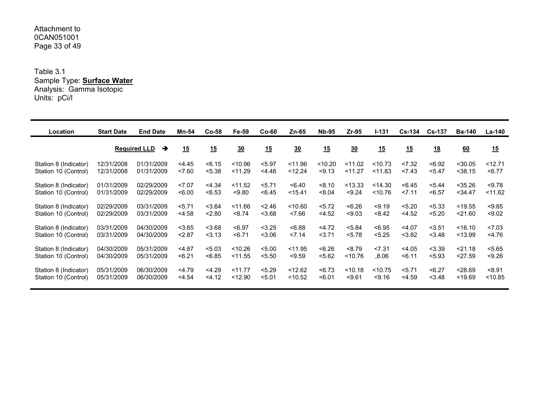### Attachment to 0CAN051001 Page 33 of 49

Table 3.1 Sample Type: **Surface Water** Analysis: Gamma Isotopic Units: pCi/l

| Location              | <b>Start Date</b> | <b>End Date</b>          | Mn-54    | $Co-58$ | Fe-59   | $Co-60$ | Zn-65     | <b>Nb-95</b> | Zr-95   | $1 - 131$ | <b>Cs-134</b> | <b>Cs-137</b> | <b>Ba-140</b> | <b>La-140</b> |
|-----------------------|-------------------|--------------------------|----------|---------|---------|---------|-----------|--------------|---------|-----------|---------------|---------------|---------------|---------------|
|                       |                   | <b>Required LLD</b><br>→ | 15       | 15      | 30      | 15      | 30        | 15           | 30      | 15        | 15            | <u>18</u>     | 60            | 15            |
| Station 8 (Indicator) | 12/31/2008        | 01/31/2009               | 4.45     | < 6.15  | < 10.96 | < 5.97  | < 11.96   | < 10.20      | < 11.02 | < 10.73   | 27.32         | < 6.92        | $<$ 30.05     | < 12.71       |
| Station 10 (Control)  | 12/31/2008        | 01/31/2009               | 27.60    | < 5.38  | < 11.29 | 4.48    | < 12.24   | < 9.13       | < 11.27 | < 11.83   | 27.43         | < 5.47        | $<$ 38.15     | < 6.77        |
| Station 8 (Indicator) | 01/31/2009        | 02/29/2009               | 27.07    | < 4.34  | < 11.52 | 5.71    | < 6.40    | < 8.10       | < 13.33 | < 14.30   | < 6.45        | < 5.44        | $<$ 35.26     | < 9.78        |
| Station 10 (Control)  | 01/31/2009        | 02/29/2009               | <6.00    | < 6.53  | < 9.80  | < 6.45  | $<$ 15.41 | < 8.04       | < 9.24  | < 10.76   | 27.11         | < 6.57        | $<$ 34.47     | < 11.62       |
| Station 8 (Indicator) | 02/29/2009        | 03/31/2009               | 5.71     | < 3.64  | < 11.66 | < 2.46  | < 10.60   | 5.72         | < 6.26  | < 9.19    | < 5.20        | < 5.33        | < 19.55       | < 9.85        |
| Station 10 (Control)  | 02/29/2009        | 03/31/2009               | < 4.58   | < 2.80  | < 8.74  | < 3.68  | 27.66     | < 4.52       | < 9.03  | < 8.42    | < 4.52        | < 5.20        | < 21.60       | < 9.02        |
| Station 8 (Indicator) | 03/31/2009        | 04/30/2009               | < 3.65   | < 3.68  | < 6.97  | < 3.25  | < 6.88    | < 4.72       | < 5.84  | < 6.95    | $<$ 4.07      | < 3.51        | < 16.10       | 27.03         |
| Station 10 (Control)  | 03/31/2009        | 04/30/2009               | < 2.87   | 3.13    | < 6.71  | < 3.06  | 27.14     | 3.71         | < 5.78  | < 5.25    | < 3.82        | < 3.48        | < 13.99       | $<$ 4.76      |
| Station 8 (Indicator) | 04/30/2009        | 05/31/2009               | $<$ 4.87 | < 5.03  | < 10.26 | < 5.00  | < 11.95   | < 6.26       | < 8.79  | < 7.31    | < 4.05        | < 3.39        | < 21.18       | < 5.65        |
| Station 10 (Control)  | 04/30/2009        | 05/31/2009               | < 6.21   | < 6.85  | < 11.55 | < 5.50  | < 9.59    | < 5.62       | < 10.76 | 0.8.06    | 56.11         | < 5.93        | 27.59         | < 9.26        |
| Station 8 (Indicator) | 05/31/2009        | 06/30/2009               | < 4.79   | < 4.29  | < 11.77 | < 5.29  | < 12.62   | < 6.73       | < 10.18 | < 10.75   | 5.71          | < 6.27        | < 28.69       | < 8.91        |
| Station 10 (Control)  | 05/31/2009        | 06/30/2009               | $<$ 4.54 | 34.12   | < 12.90 | < 5.01  | < 10.52   | < 6.01       | < 9.61  | < 9.16    | $<$ 4.59      | < 3.48        | < 19.69       | < 10.85       |
|                       |                   |                          |          |         |         |         |           |              |         |           |               |               |               |               |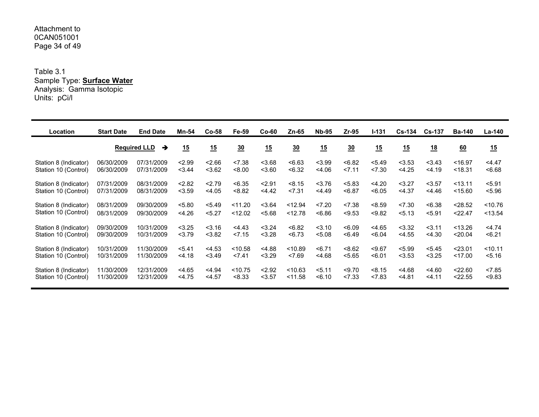### Attachment to 0CAN051001 Page 34 of 49

Table 3.1 Sample Type: **Surface Water** Analysis: Gamma Isotopic Units: pCi/l

| Location              | <b>Start Date</b> | <b>End Date</b>          | Mn-54  | $Co-58$  | Fe-59   | <b>Co-60</b> | Zn-65   | <b>Nb-95</b> | $Zr-95$ | $1 - 131$ | <b>Cs-134</b> | <b>Cs-137</b> | <b>Ba-140</b> | La-140    |
|-----------------------|-------------------|--------------------------|--------|----------|---------|--------------|---------|--------------|---------|-----------|---------------|---------------|---------------|-----------|
|                       |                   | <b>Required LLD</b><br>→ | 15     | 15       | 30      | 15           | 30      | 15           | 30      | 15        | 15            | <u>18</u>     | 60            | 15        |
| Station 8 (Indicator) | 06/30/2009        | 07/31/2009               | 2.99   | 2.66     | < 7.38  | < 3.68       | < 6.63  | < 3.99       | < 6.82  | < 5.49    | < 3.53        | < 3.43        | < 16.97       | 4.47      |
| Station 10 (Control)  | 06/30/2009        | 07/31/2009               | 3.44   | < 3.62   | < 8.00  | 3.60         | < 6.32  | < 4.06       | 27.11   | < 7.30    | < 4.25        | < 4.19        | < 18.31       | < 6.68    |
| Station 8 (Indicator) | 07/31/2009        | 08/31/2009               | 2.82   | 2.79     | < 6.35  | 2.91         | < 8.15  | 3.76         | < 5.83  | < 4.20    | $3.27$        | < 3.57        | < 13.11       | < 5.91    |
| Station 10 (Control)  | 07/31/2009        | 08/31/2009               | < 3.59 | < 4.05   | < 8.82  | 4.42         | < 7.31  | 4.49         | < 6.87  | < 6.05    | $<$ 4.37      | < 4.46        | < 15.60       | < 5.96    |
| Station 8 (Indicator) | 08/31/2009        | 09/30/2009               | < 5.80 | < 5.49   | < 11.20 | < 3.64       | < 12.94 | 27.20        | < 7.38  | < 8.59    | 27.30         | <6.38         | < 28.52       | $<$ 10.76 |
| Station 10 (Control)  | 08/31/2009        | 09/30/2009               | < 4.26 | < 5.27   | < 12.02 | < 5.68       | < 12.78 | < 6.86       | < 9.53  | < 9.82    | 5.13          | < 5.91        | < 22.47       | < 13.54   |
| Station 8 (Indicator) | 09/30/2009        | 10/31/2009               | < 3.25 | < 3.16   | 4.43    | < 3.24       | < 6.82  | < 3.10       | < 6.09  | < 4.65    | < 3.32        | 3.11          | < 13.26       | $<$ 4.74  |
| Station 10 (Control)  | 09/30/2009        | 10/31/2009               | 3.79   | < 3.82   | 27.15   | < 3.28       | < 6.73  | < 5.08       | < 6.49  | < 6.04    | $<$ 4.55      | < 4.30        | < 20.04       | < 6.21    |
| Station 8 (Indicator) | 10/31/2009        | 11/30/2009               | 5.41   | < 4.53   | < 10.58 | < 4.88       | < 10.89 | < 6.71       | < 8.62  | < 9.67    | < 5.99        | < 5.45        | < 23.01       | < 10.11   |
| Station 10 (Control)  | 10/31/2009        | 11/30/2009               | 4.18   | < 3.49   | < 7.41  | < 3.29       | < 7.69  | < 4.68       | < 5.65  | < 6.01    | < 3.53        | < 3.25        | < 17.00       | 5.16      |
| Station 8 (Indicator) | 11/30/2009        | 12/31/2009               | < 4.65 | $<$ 4.94 | < 10.75 | < 2.92       | < 10.63 | 5.11         | < 9.70  | < 8.15    | 4.68          | < 4.60        | < 22.60       | < 7.85    |
| Station 10 (Control)  | 11/30/2009        | 12/31/2009               | 4.75   | < 4.57   | < 8.33  | $3.57$       | < 11.58 | < 6.10       | 27.33   | < 7.83    | 4.81          | < 4.11        | < 22.55       | < 9.83    |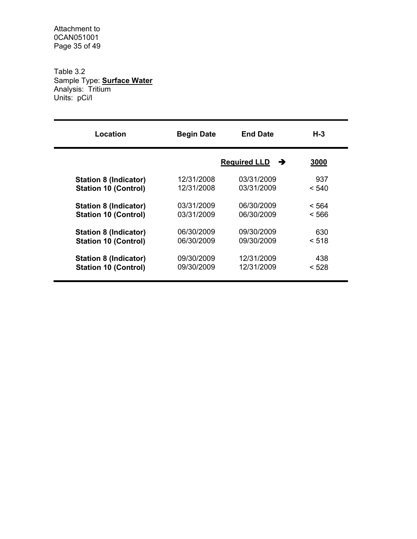Attachment to 0CAN051001 Page 35 of 49

Table 3.2 Sample Type: **Surface Water** Analysis: Tritium Units: pCi/l

| Location                     | <b>Begin Date</b> | <b>End Date</b>          | $H-3$ |
|------------------------------|-------------------|--------------------------|-------|
|                              |                   | <b>Required LLD</b><br>→ | 3000  |
| <b>Station 8 (Indicator)</b> | 12/31/2008        | 03/31/2009               | 937   |
| <b>Station 10 (Control)</b>  | 12/31/2008        | 03/31/2009               | < 540 |
| <b>Station 8 (Indicator)</b> | 03/31/2009        | 06/30/2009               | < 564 |
| <b>Station 10 (Control)</b>  | 03/31/2009        | 06/30/2009               | < 566 |
| <b>Station 8 (Indicator)</b> | 06/30/2009        | 09/30/2009               | 630   |
| <b>Station 10 (Control)</b>  | 06/30/2009        | 09/30/2009               | < 518 |
| <b>Station 8 (Indicator)</b> | 09/30/2009        | 12/31/2009               | 438   |
| <b>Station 10 (Control)</b>  | 09/30/2009        | 12/31/2009               | < 528 |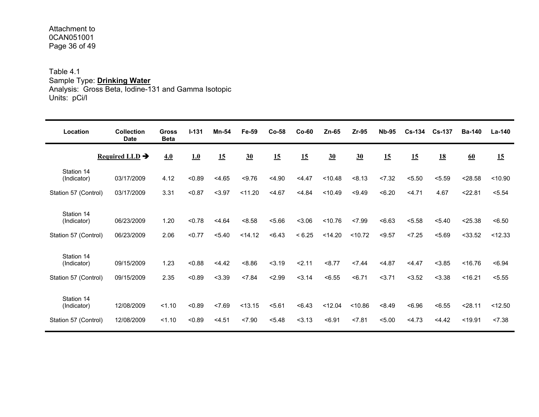### Attachment to 0CAN051001 Page 36 of 49

# Table 4.1 Sample Type: **Drinking Water**

Analysis: Gross Beta, Iodine-131 and Gamma Isotopic Units: pCi/l

| Location                  | <b>Collection</b><br><b>Date</b> | <b>Gross</b><br><b>Beta</b> | $1 - 131$ | Mn-54  | Fe-59            | $Co-58$ | $Co-60$ | $Zn-65$ | Zr-95   | <b>Nb-95</b> | $Cs - 134$ | $Cs-137$ | <b>Ba-140</b> | La-140  |
|---------------------------|----------------------------------|-----------------------------|-----------|--------|------------------|---------|---------|---------|---------|--------------|------------|----------|---------------|---------|
|                           | Required LLD $\rightarrow$       | 4.0                         | 1.0       | 15     | $\underline{30}$ | 15      | 15      | 30      | 30      | 15           | 15         | 18       | 60            | 15      |
| Station 14<br>(Indicator) | 03/17/2009                       | 4.12                        | < 0.89    | < 4.65 | < 9.76           | < 4.90  | 4.47    | < 10.48 | < 8.13  | < 7.32       | < 5.50     | < 5.59   | < 28.58       | < 10.90 |
| Station 57 (Control)      | 03/17/2009                       | 3.31                        | < 0.87    | $3.97$ | < 11.20          | < 4.67  | < 4.84  | < 10.49 | < 9.49  | <6.20        | 4.71       | 4.67     | < 22.81       | < 5.54  |
| Station 14<br>(Indicator) | 06/23/2009                       | 1.20                        | < 0.78    | 4.64   | < 8.58           | 5.66    | < 3.06  | < 10.76 | < 7.99  | <6.63        | < 5.58     | < 5.40   | < 25.38       | < 6.50  |
| Station 57 (Control)      | 06/23/2009                       | 2.06                        | < 0.77    | < 5.40 | < 14.12          | < 6.43  | < 6.25  | < 14.20 | < 10.72 | < 9.57       | < 7.25     | < 5.69   | $<$ 33.52     | < 12.33 |
| Station 14<br>(Indicator) | 09/15/2009                       | 1.23                        | 0.88      | 4.42   | 8.86             | 3.19    | 2.11    | < 8.77  | < 7.44  | < 4.87       | 4.47       | < 3.85   | < 16.76       | <6.94   |
| Station 57 (Control)      | 09/15/2009                       | 2.35                        | <0.89     | < 3.39 | < 7.84           | 2.99    | 3.14    | < 6.55  | < 6.71  | 3.71         | < 3.52     | < 3.38   | < 16.21       | < 5.55  |
| Station 14<br>(Indicator) | 12/08/2009                       | 1.10                        | <0.89     | 27.69  | < 13.15          | 5.61    | <6.43   | < 12.04 | < 10.86 | < 8.49       | <6.96      | < 6.55   | 28.11         | < 12.50 |
| Station 57 (Control)      | 12/08/2009                       | 1.10                        | <0.89     | < 4.51 | < 7.90           | < 5.48  | 3.13    | < 6.91  | < 7.81  | < 5.00       | 4.73       | 4.42     | < 19.91       | < 7.38  |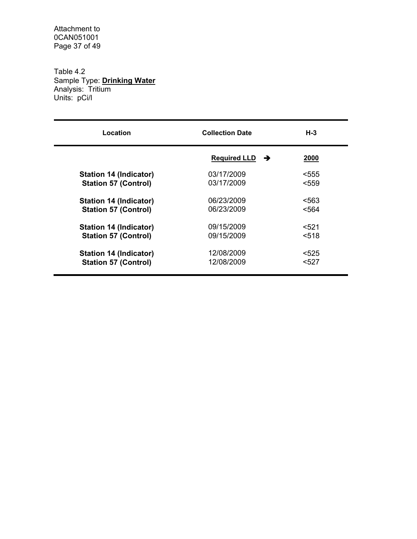Attachment to 0CAN051001 Page 37 of 49

Table 4.2 Sample Type: **Drinking Water** Analysis: Tritium Units: pCi/l

| Location                      | <b>Collection Date</b>   | $H-3$ |
|-------------------------------|--------------------------|-------|
|                               | <b>Required LLD</b><br>→ | 2000  |
| <b>Station 14 (Indicator)</b> | 03/17/2009               | <555  |
| <b>Station 57 (Control)</b>   | 03/17/2009               | <559  |
| <b>Station 14 (Indicator)</b> | 06/23/2009               | <563  |
| <b>Station 57 (Control)</b>   | 06/23/2009               | <564  |
| <b>Station 14 (Indicator)</b> | 09/15/2009               | < 521 |
| <b>Station 57 (Control)</b>   | 09/15/2009               | <518  |
| Station 14 (Indicator)        | 12/08/2009               | $525$ |
| <b>Station 57 (Control)</b>   | 12/08/2009               | <527  |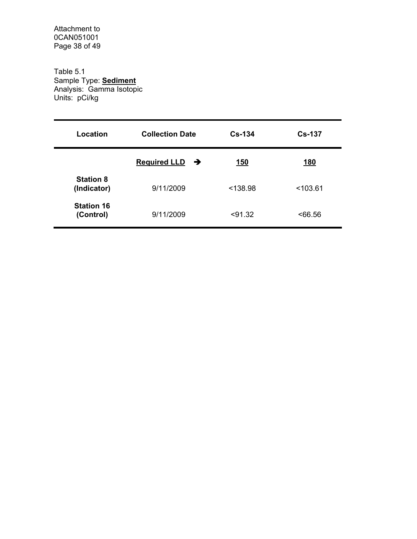Attachment to 0CAN051001 Page 38 of 49

Table 5.1 Sample Type: **Sediment** Analysis: Gamma Isotopic Units: pCi/kg

| Location                        | <b>Collection Date</b>     | $Cs-134$   | <b>Cs-137</b> |
|---------------------------------|----------------------------|------------|---------------|
|                                 | Required LLD $\rightarrow$ | <u>150</u> | 180           |
| <b>Station 8</b><br>(Indicator) | 9/11/2009                  | < 138.98   | < 103.61      |
| <b>Station 16</b><br>(Control)  | 9/11/2009                  | < 91.32    | ~56.56        |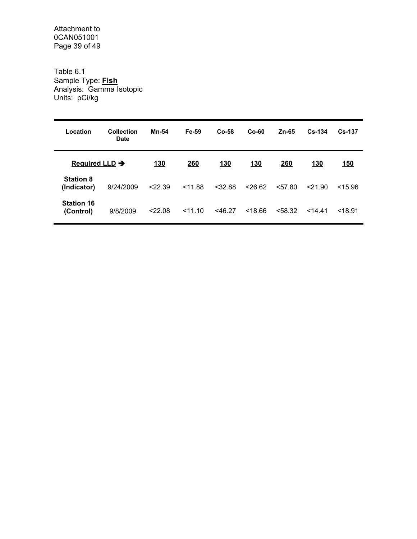Attachment to 0CAN051001 Page 39 of 49

Table 6.1 Sample Type: **Fish** Analysis: Gamma Isotopic Units: pCi/kg

| Location                        | Collection<br>Date | Mn-54      | Fe-59   | $Co-58$    | $Co-60$    | $Zn-65$    | $Cs - 134$ | $Cs - 137$ |
|---------------------------------|--------------------|------------|---------|------------|------------|------------|------------|------------|
| Required LLD $\rightarrow$      |                    | <u>130</u> | 260     | <u>130</u> | <u>130</u> | <b>260</b> | <u>130</u> | <u>150</u> |
| <b>Station 8</b><br>(Indicator) | 9/24/2009          | < 22.39    | < 11.88 | $<$ 32.88  | < 26.62    | 57.80      | < 21.90    | < 15.96    |
| <b>Station 16</b><br>(Control)  | 9/8/2009           | < 22.08    | 11.10   | $<$ 46.27  | < 18.66    | < 58.32    | 14.41      | < 18.91    |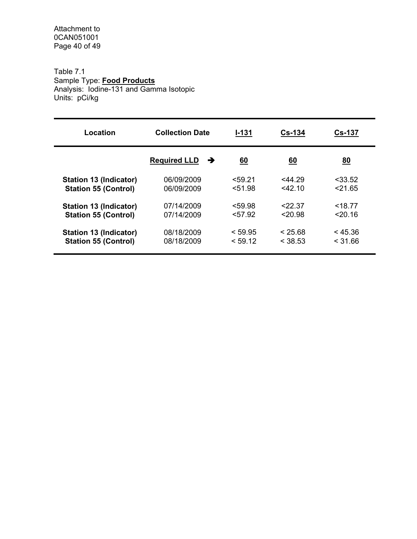Attachment to 0CAN051001 Page 40 of 49

## Table 7.1 Sample Type: **Food Products** Analysis: Iodine-131 and Gamma Isotopic Units: pCi/kg

| Location                      | <b>Collection Date</b>   | $I - 131$ | $Cs-134$  | <b>Cs-137</b> |
|-------------------------------|--------------------------|-----------|-----------|---------------|
|                               | <b>Required LLD</b><br>→ | <u>60</u> | <u>60</u> | <u>80</u>     |
| Station 13 (Indicator)        | 06/09/2009               | < 59.21   | $<$ 44.29 | $<$ 33.52     |
| <b>Station 55 (Control)</b>   | 06/09/2009               | < 51.98   | $<$ 42.10 | 21.65         |
| <b>Station 13 (Indicator)</b> | 07/14/2009               | < 59.98   | 22.37     | < 18.77       |
| <b>Station 55 (Control)</b>   | 07/14/2009               | < 57.92   | 20.98     | 20.16         |
| <b>Station 13 (Indicator)</b> | 08/18/2009               | < 59.95   | < 25.68   | < 45.36       |
| <b>Station 55 (Control)</b>   | 08/18/2009               | < 59.12   | < 38.53   | < 31.66       |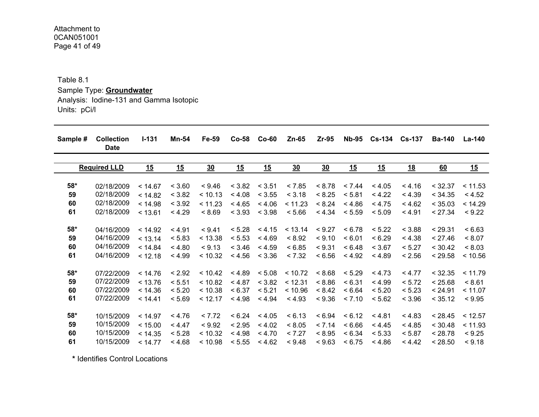Attachment to 0CAN051001 Page 41 of 49

Table 8.1

Sample Type: **Groundwater** Analysis: Iodine-131 and Gamma Isotopic Units: pCi/l

| Sample # | <b>Collection</b><br><b>Date</b> | $I - 131$ | Mn-54  | Fe-59          | $Co-58$ | $Co-60$ | $Zn-65$          | $Zr-95$          | <b>Nb-95</b>     |           | Cs-134 Cs-137 | <b>Ba-140</b> | <b>La-140</b> |
|----------|----------------------------------|-----------|--------|----------------|---------|---------|------------------|------------------|------------------|-----------|---------------|---------------|---------------|
|          | <b>Required LLD</b>              | 15        | 15     | $\frac{30}{2}$ | 15      | 15      | $\underline{30}$ | $\underline{30}$ | $\underline{15}$ | <u>15</u> | <u>18</u>     | 60            | 15            |
| 58*      | 02/18/2009                       | < 14.67   | < 3.60 | < 9.46         | < 3.82  | < 3.51  | < 7.85           | < 8.78           | < 7.44           | < 4.05    | < 4.16        | < 32.37       | < 11.53       |
| 59       | 02/18/2009                       | < 14.82   | < 3.82 | < 10.13        | < 4.08  | < 3.55  | < 3.18           | < 8.25           | < 5.81           | < 4.22    | < 4.39        | < 34.35       | < 4.52        |
| 60       | 02/18/2009                       | < 14.98   | < 3.92 | < 11.23        | < 4.65  | < 4.06  | < 11.23          | < 8.24           | < 4.86           | < 4.75    | < 4.62        | < 35.03       | < 14.29       |
| 61       | 02/18/2009                       | < 13.61   | < 4.29 | < 8.69         | < 3.93  | < 3.98  | < 5.66           | < 4.34           | < 5.59           | < 5.09    | < 4.91        | < 27.34       | < 9.22        |
| 58*      | 04/16/2009                       | < 14.92   | < 4.91 | < 9.41         | < 5.28  | < 4.15  | < 13.14          | < 9.27           | < 6.78           | < 5.22    | < 3.88        | < 29.31       | < 6.63        |
| 59       | 04/16/2009                       | < 13.14   | < 5.83 | < 13.38        | < 5.53  | < 4.69  | < 8.92           | < 9.10           | < 6.01           | < 6.29    | < 4.38        | < 27.46       | < 8.07        |
| 60       | 04/16/2009                       | < 14.84   | < 4.80 | < 9.13         | < 3.46  | < 4.59  | < 6.85           | < 9.31           | < 6.48           | < 3.67    | < 5.27        | < 30.42       | < 8.03        |
| 61       | 04/16/2009                       | < 12.18   | < 4.99 | < 10.32        | < 4.56  | < 3.36  | < 7.32           | < 6.56           | < 4.92           | < 4.89    | < 2.56        | < 29.58       | < 10.56       |
| 58*      | 07/22/2009                       | < 14.76   | < 2.92 | < 10.42        | < 4.89  | < 5.08  | < 10.72          | < 8.68           | < 5.29           | < 4.73    | < 4.77        | < 32.35       | < 11.79       |
| 59       | 07/22/2009                       | < 13.76   | < 5.51 | < 10.82        | < 4.87  | < 3.82  | < 12.31          | < 8.86           | < 6.31           | < 4.99    | < 5.72        | < 25.68       | < 8.61        |
| 60       | 07/22/2009                       | < 14.36   | < 5.20 | < 10.38        | < 6.37  | < 5.21  | < 10.96          | < 8.42           | < 6.64           | < 5.20    | < 5.23        | < 24.91       | < 11.07       |
| 61       | 07/22/2009                       | < 14.41   | < 5.69 | < 12.17        | < 4.98  | < 4.94  | < 4.93           | < 9.36           | < 7.10           | < 5.62    | < 3.96        | < 35.12       | < 9.95        |
| 58*      | 10/15/2009                       | < 14.97   | < 4.76 | < 7.72         | < 6.24  | < 4.05  | < 6.13           | < 6.94           | < 6.12           | < 4.81    | < 4.83        | < 28.45       | < 12.57       |
| 59       | 10/15/2009                       | < 15.00   | < 4.47 | < 9.92         | < 2.95  | < 4.02  | < 8.05           | < 7.14           | < 6.66           | < 4.45    | < 4.85        | < 30.48       | < 11.93       |
| 60       | 10/15/2009                       | < 14.35   | < 5.28 | < 10.32        | < 4.98  | < 4.70  | < 7.27           | < 8.95           | < 6.34           | < 5.33    | < 5.87        | < 28.78       | < 9.25        |
| 61       | 10/15/2009                       | < 14.77   | < 4.68 | < 10.98        | < 5.55  | < 4.62  | < 9.48           | < 9.63           | < 6.75           | < 4.86    | < 4.42        | < 28.50       | < 9.18        |

**\*** Identifies Control Locations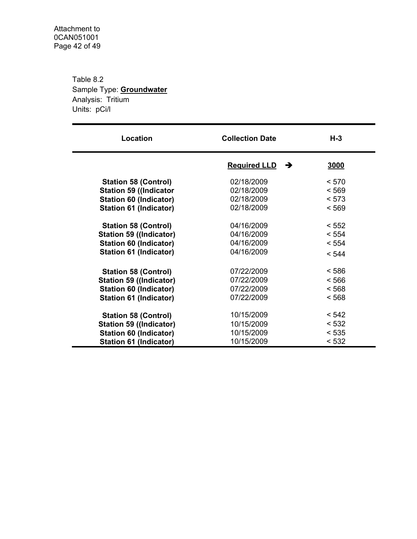Table 8.2 Sample Type: **Groundwater** Analysis: Tritium Units: pCi/l

| Location                       | <b>Collection Date</b>   | $H-3$ |
|--------------------------------|--------------------------|-------|
|                                | <b>Required LLD</b><br>→ | 3000  |
| <b>Station 58 (Control)</b>    | 02/18/2009               | < 570 |
| <b>Station 59 ((Indicator</b>  | 02/18/2009               | < 569 |
| <b>Station 60 (Indicator)</b>  | 02/18/2009               | < 573 |
| Station 61 (Indicator)         | 02/18/2009               | < 569 |
| <b>Station 58 (Control)</b>    | 04/16/2009               | < 552 |
| <b>Station 59 ((Indicator)</b> | 04/16/2009               | < 554 |
| <b>Station 60 (Indicator)</b>  | 04/16/2009               | < 554 |
| Station 61 (Indicator)         | 04/16/2009               | < 544 |
| <b>Station 58 (Control)</b>    | 07/22/2009               | < 586 |
| <b>Station 59 ((Indicator)</b> | 07/22/2009               | < 566 |
| <b>Station 60 (Indicator)</b>  | 07/22/2009               | < 568 |
| <b>Station 61 (Indicator)</b>  | 07/22/2009               | < 568 |
| <b>Station 58 (Control)</b>    | 10/15/2009               | < 542 |
| <b>Station 59 ((Indicator)</b> | 10/15/2009               | < 532 |
| <b>Station 60 (Indicator)</b>  | 10/15/2009               | < 535 |
| Station 61 (Indicator)         | 10/15/2009               | < 532 |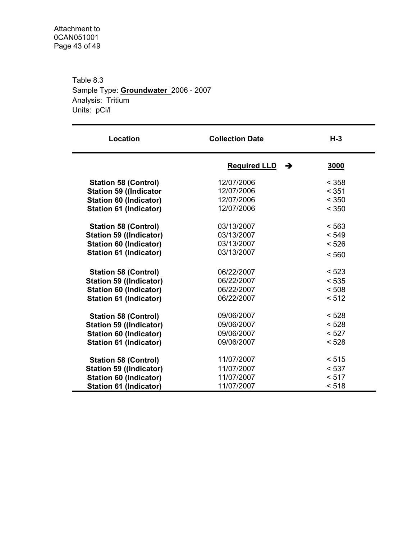Table 8.3 Sample Type: **Groundwater** 2006 - 2007 Analysis: Tritium Units: pCi/l

| Location                       | <b>Collection Date</b>   | $H-3$ |
|--------------------------------|--------------------------|-------|
|                                | <b>Required LLD</b><br>→ | 3000  |
| <b>Station 58 (Control)</b>    | 12/07/2006               | < 358 |
| <b>Station 59 ((Indicator</b>  | 12/07/2006               | < 351 |
| <b>Station 60 (Indicator)</b>  | 12/07/2006               | < 350 |
| <b>Station 61 (Indicator)</b>  | 12/07/2006               | < 350 |
| <b>Station 58 (Control)</b>    | 03/13/2007               | < 563 |
| <b>Station 59 ((Indicator)</b> | 03/13/2007               | < 549 |
| <b>Station 60 (Indicator)</b>  | 03/13/2007               | < 526 |
| <b>Station 61 (Indicator)</b>  | 03/13/2007               | < 560 |
| <b>Station 58 (Control)</b>    | 06/22/2007               | < 523 |
| <b>Station 59 ((Indicator)</b> | 06/22/2007               | < 535 |
| <b>Station 60 (Indicator)</b>  | 06/22/2007               | < 508 |
| <b>Station 61 (Indicator)</b>  | 06/22/2007               | < 512 |
| <b>Station 58 (Control)</b>    | 09/06/2007               | < 528 |
| <b>Station 59 ((Indicator)</b> | 09/06/2007               | < 528 |
| <b>Station 60 (Indicator)</b>  | 09/06/2007               | < 527 |
| <b>Station 61 (Indicator)</b>  | 09/06/2007               | < 528 |
| <b>Station 58 (Control)</b>    | 11/07/2007               | < 515 |
| <b>Station 59 ((Indicator)</b> | 11/07/2007               | < 537 |
| <b>Station 60 (Indicator)</b>  | 11/07/2007               | < 517 |
| <b>Station 61 (Indicator)</b>  | 11/07/2007               | < 518 |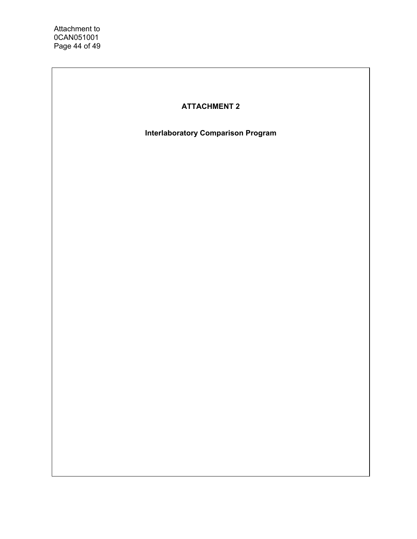# **ATTACHMENT 2**

**Interlaboratory Comparison Program**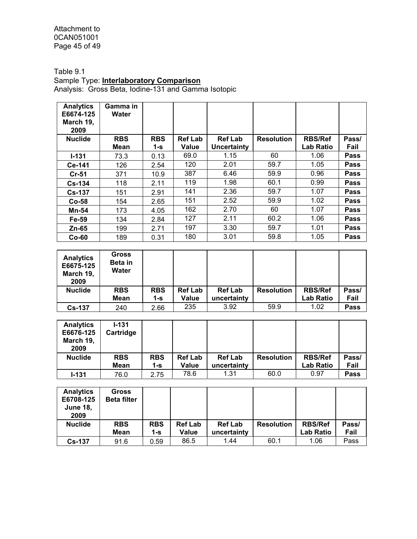Attachment to 0CAN051001 Page 45 of 49

Table 9.1

#### Sample Type: **Interlaboratory Comparison**

Analysis: Gross Beta, Iodine-131 and Gamma Isotopic

| <b>Analytics</b><br>E6674-125<br>March 19,<br>2009 | Gamma in<br>Water |            |                |                |                   |                  |             |
|----------------------------------------------------|-------------------|------------|----------------|----------------|-------------------|------------------|-------------|
| <b>Nuclide</b>                                     | <b>RBS</b>        | <b>RBS</b> | <b>Ref Lab</b> | <b>Ref Lab</b> | <b>Resolution</b> | <b>RBS/Ref</b>   | Pass/       |
|                                                    | Mean              | $1-S$      | Value          | Uncertainty    |                   | <b>Lab Ratio</b> | Fail        |
| $I - 131$                                          | 73.3              | 0.13       | 69.0           | 1.15           | 60                | 1.06             | Pass        |
| Ce-141                                             | 126               | 2.54       | 120            | 2.01           | 59.7              | 1.05             | Pass        |
| $Cr-51$                                            | 371               | 10.9       | 387            | 6.46           | 59.9              | 0.96             | Pass        |
| <b>Cs-134</b>                                      | 118               | 2.11       | 119            | 1.98           | 60.1              | 0.99             | Pass        |
| <b>Cs-137</b>                                      | 151               | 2.91       | 141            | 2.36           | 59.7              | 1.07             | <b>Pass</b> |
| $Co-58$                                            | 154               | 2.65       | 151            | 2.52           | 59.9              | 1.02             | Pass        |
| <b>Mn-54</b>                                       | 173               | 4.05       | 162            | 2.70           | 60                | 1.07             | <b>Pass</b> |
| Fe-59                                              | 134               | 2.84       | 127            | 2.11           | 60.2              | 1.06             | Pass        |
| $Zn-65$                                            | 199               | 2.71       | 197            | 3.30           | 59.7              | 1.01             | <b>Pass</b> |
| $Co-60$                                            | 189               | 0.31       | 180            | 3.01           | 59.8              | 1.05             | Pass        |

| <b>Analytics</b><br>E6675-125<br>March 19,<br>2009 | <b>Gross</b><br>Beta in<br>Water |            |                |                |                   |                  |       |
|----------------------------------------------------|----------------------------------|------------|----------------|----------------|-------------------|------------------|-------|
| <b>Nuclide</b>                                     | <b>RBS</b>                       | <b>RBS</b> | <b>Ref Lab</b> | <b>Ref Lab</b> | <b>Resolution</b> | <b>RBS/Ref</b>   | Pass/ |
|                                                    | Mean                             | 1-s        | <b>Value</b>   | uncertainty    |                   | <b>Lab Ratio</b> | Fail  |
| <b>Cs-137</b>                                      | 240                              | 2.66       | 235            | 3.92           | 59.9              | 1.02             | Pass  |

| <b>Analytics</b><br>E6676-125<br>March 19,<br>2009 | $1 - 131$<br>Cartridge |            |                |                |                   |                |       |
|----------------------------------------------------|------------------------|------------|----------------|----------------|-------------------|----------------|-------|
| <b>Nuclide</b>                                     | <b>RBS</b>             | <b>RBS</b> | <b>Ref Lab</b> | <b>Ref Lab</b> | <b>Resolution</b> | <b>RBS/Ref</b> | Pass/ |
|                                                    | Mean                   | 1-s        | <b>Value</b>   | uncertainty    |                   | Lab Ratio      | Fail  |
| $1 - 131$                                          | 76.0                   | 2.75       | 78.6           | 1.31           | 60.0              | 0.97           | Pass  |

| <b>Analytics</b><br>E6708-125<br><b>June 18,</b><br>2009 | Gross<br><b>Beta filter</b> |                   |                         |                               |                   |                                    |               |
|----------------------------------------------------------|-----------------------------|-------------------|-------------------------|-------------------------------|-------------------|------------------------------------|---------------|
| <b>Nuclide</b>                                           | <b>RBS</b><br><b>Mean</b>   | <b>RBS</b><br>1-s | <b>Ref Lab</b><br>Value | <b>Ref Lab</b><br>uncertainty | <b>Resolution</b> | <b>RBS/Ref</b><br><b>Lab Ratio</b> | Pass/<br>Fail |
|                                                          |                             |                   |                         |                               |                   |                                    |               |
| <b>Cs-137</b>                                            | 91.6                        | 0.59              | 86.5                    | 1.44                          | 60.1              | 1.06                               | Pass          |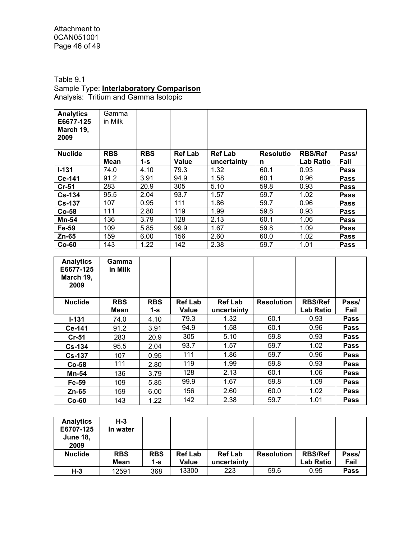Attachment to 0CAN051001 Page 46 of 49

Table 9.1 Sample Type: **Interlaboratory Comparison** Analysis: Tritium and Gamma Isotopic

| <b>Analytics</b><br>E6677-125<br>March 19,<br>2009 | Gamma<br>in Milk |            |                |                |                  |                  |             |
|----------------------------------------------------|------------------|------------|----------------|----------------|------------------|------------------|-------------|
| <b>Nuclide</b>                                     | <b>RBS</b>       | <b>RBS</b> | <b>Ref Lab</b> | <b>Ref Lab</b> | <b>Resolutio</b> | <b>RBS/Ref</b>   | Pass/       |
|                                                    | Mean             | 1-s        | Value          | uncertainty    | n                | <b>Lab Ratio</b> | Fail        |
| $I - 131$                                          | 74.0             | 4.10       | 79.3           | 1.32           | 60.1             | 0.93             | <b>Pass</b> |
| Ce-141                                             | 91.2             | 3.91       | 94.9           | 1.58           | 60.1             | 0.96             | <b>Pass</b> |
| $Cr-51$                                            | 283              | 20.9       | 305            | 5.10           | 59.8             | 0.93             | <b>Pass</b> |
| $Cs-134$                                           | 95.5             | 2.04       | 93.7           | 1.57           | 59.7             | 1.02             | <b>Pass</b> |
| <b>Cs-137</b>                                      | 107              | 0.95       | 111            | 1.86           | 59.7             | 0.96             | <b>Pass</b> |
| $Co-58$                                            | 111              | 2.80       | 119            | 1.99           | 59.8             | 0.93             | <b>Pass</b> |
| Mn-54                                              | 136              | 3.79       | 128            | 2.13           | 60.1             | 1.06             | <b>Pass</b> |
| Fe-59                                              | 109              | 5.85       | 99.9           | 1.67           | 59.8             | 1.09             | <b>Pass</b> |
| Zn-65                                              | 159              | 6.00       | 156            | 2.60           | 60.0             | 1.02             | <b>Pass</b> |
| $Co-60$                                            | 143              | 1.22       | 142            | 2.38           | 59.7             | 1.01             | <b>Pass</b> |

| <b>Analytics</b><br>E6677-125<br>March 19,<br>2009 | Gamma<br>in Milk |            |                |                |                   |                  |             |
|----------------------------------------------------|------------------|------------|----------------|----------------|-------------------|------------------|-------------|
| <b>Nuclide</b>                                     | <b>RBS</b>       | <b>RBS</b> | <b>Ref Lab</b> | <b>Ref Lab</b> | <b>Resolution</b> | <b>RBS/Ref</b>   | Pass/       |
|                                                    | Mean             | 1-s        | <b>Value</b>   | uncertainty    |                   | <b>Lab Ratio</b> | Fail        |
| $I-131$                                            | 74.0             | 4.10       | 79.3           | 1.32           | 60.1              | 0.93             | <b>Pass</b> |
| Ce-141                                             | 91.2             | 3.91       | 94.9           | 1.58           | 60.1              | 0.96             | <b>Pass</b> |
| <b>Cr-51</b>                                       | 283              | 20.9       | 305            | 5.10           | 59.8              | 0.93             | <b>Pass</b> |
| $Cs - 134$                                         | 95.5             | 2.04       | 93.7           | 1.57           | 59.7              | 1.02             | <b>Pass</b> |
| $Cs-137$                                           | 107              | 0.95       | 111            | 1.86           | 59.7              | 0.96             | <b>Pass</b> |
| $Co-58$                                            | 111              | 2.80       | 119            | 1.99           | 59.8              | 0.93             | <b>Pass</b> |
| Mn-54                                              | 136              | 3.79       | 128            | 2.13           | 60.1              | 1.06             | <b>Pass</b> |
| Fe-59                                              | 109              | 5.85       | 99.9           | 1.67           | 59.8              | 1.09             | <b>Pass</b> |
| Zn-65                                              | 159              | 6.00       | 156            | 2.60           | 60.0              | 1.02             | <b>Pass</b> |
| $Co-60$                                            | 143              | 1.22       | 142            | 2.38           | 59.7              | 1.01             | <b>Pass</b> |

| <b>Analytics</b><br>E6707-125<br><b>June 18,</b><br>2009 | $H-3$<br>In water  |                     |                         |                               |                   |                                    |               |
|----------------------------------------------------------|--------------------|---------------------|-------------------------|-------------------------------|-------------------|------------------------------------|---------------|
| <b>Nuclide</b>                                           | <b>RBS</b><br>Mean | <b>RBS</b><br>$1-S$ | <b>Ref Lab</b><br>Value | <b>Ref Lab</b><br>uncertainty | <b>Resolution</b> | <b>RBS/Ref</b><br><b>Lab Ratio</b> | Pass/<br>Fail |
| $H-3$                                                    | 12591              | 368                 | 13300                   | 223                           | 59.6              | 0.95                               | Pass          |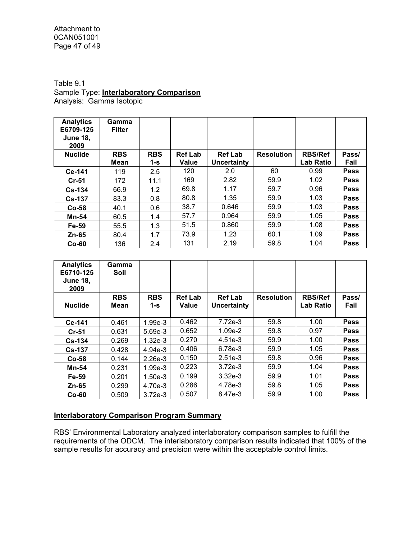Attachment to 0CAN051001 Page 47 of 49

#### Table 9.1 Sample Type: **Interlaboratory Comparison** Analysis: Gamma Isotopic

| <b>Analytics</b><br>E6709-125<br><b>June 18,</b><br>2009 | Gamma<br><b>Filter</b> |            |                |                |                   |                  |             |
|----------------------------------------------------------|------------------------|------------|----------------|----------------|-------------------|------------------|-------------|
| <b>Nuclide</b>                                           | <b>RBS</b>             | <b>RBS</b> | <b>Ref Lab</b> | <b>Ref Lab</b> | <b>Resolution</b> | <b>RBS/Ref</b>   | Pass/       |
|                                                          | <b>Mean</b>            | $1-S$      | <b>Value</b>   | Uncertainty    |                   | <b>Lab Ratio</b> | Fail        |
| Ce-141                                                   | 119                    | 2.5        | 120            | 2.0            | 60                | 0.99             | <b>Pass</b> |
| $Cr-51$                                                  | 172                    | 11.1       | 169            | 2.82           | 59.9              | 1.02             | <b>Pass</b> |
| $Cs - 134$                                               | 66.9                   | 1.2        | 69.8           | 1.17           | 59.7              | 0.96             | <b>Pass</b> |
| $Cs - 137$                                               | 83.3                   | 0.8        | 80.8           | 1.35           | 59.9              | 1.03             | Pass        |
| $Co-58$                                                  | 40.1                   | 0.6        | 38.7           | 0.646          | 59.9              | 1.03             | Pass        |
| <b>Mn-54</b>                                             | 60.5                   | 1.4        | 57.7           | 0.964          | 59.9              | 1.05             | Pass        |
| Fe-59                                                    | 55.5                   | 1.3        | 51.5           | 0.860          | 59.9              | 1.08             | <b>Pass</b> |
| Zn-65                                                    | 80.4                   | 1.7        | 73.9           | 1.23           | 60.1              | 1.09             | Pass        |
| $Co-60$                                                  | 136                    | 2.4        | 131            | 2.19           | 59.8              | 1.04             | <b>Pass</b> |

| <b>Analytics</b><br>E6710-125<br><b>June 18,</b><br>2009 | Gamma<br>Soil      |                   |                         |                               |                   |                                    |               |
|----------------------------------------------------------|--------------------|-------------------|-------------------------|-------------------------------|-------------------|------------------------------------|---------------|
| <b>Nuclide</b>                                           | <b>RBS</b><br>Mean | <b>RBS</b><br>1-s | <b>Ref Lab</b><br>Value | <b>Ref Lab</b><br>Uncertainty | <b>Resolution</b> | <b>RBS/Ref</b><br><b>Lab Ratio</b> | Pass/<br>Fail |
| Ce-141                                                   | 0.461              | 1.99e-3           | 0.462                   | 7.72e-3                       | 59.8              | 1.00                               | Pass          |
| $Cr-51$                                                  | 0.631              | 5.69e-3           | 0.652                   | $1.09e-2$                     | 59.8              | 0.97                               | <b>Pass</b>   |
| $Cs - 134$                                               | 0.269              | $1.32e-3$         | 0.270                   | $4.51e-3$                     | 59.9              | 1.00                               | Pass          |
| $Cs - 137$                                               | 0.428              | 4.94e-3           | 0.406                   | 6.78e-3                       | 59.9              | 1.05                               | Pass          |
| $Co-58$                                                  | 0.144              | $2.26e-3$         | 0.150                   | $2.51e-3$                     | 59.8              | 0.96                               | Pass          |
| <b>Mn-54</b>                                             | 0.231              | $1.99e-3$         | 0.223                   | $3.72e-3$                     | 59.9              | 1.04                               | Pass          |
| Fe-59                                                    | 0.201              | $1.50e-3$         | 0.199                   | $3.32e-3$                     | 59.9              | 1.01                               | Pass          |
| Zn-65                                                    | 0.299              | 4.70e-3           | 0.286                   | 4.78e-3                       | 59.8              | 1.05                               | <b>Pass</b>   |
| $Co-60$                                                  | 0.509              | $3.72e-3$         | 0.507                   | 8.47e-3                       | 59.9              | 1.00                               | Pass          |

## **Interlaboratory Comparison Program Summary**

RBS' Environmental Laboratory analyzed interlaboratory comparison samples to fulfill the requirements of the ODCM. The interlaboratory comparison results indicated that 100% of the sample results for accuracy and precision were within the acceptable control limits.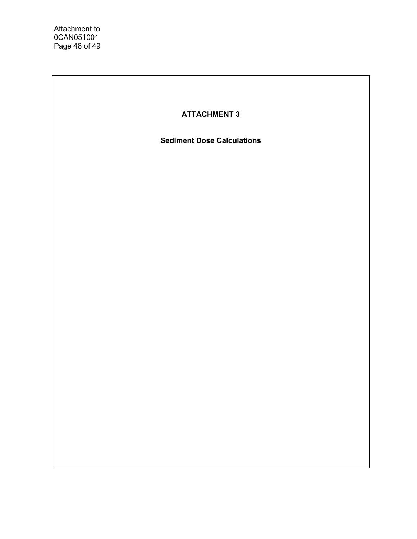# **ATTACHMENT 3**

**Sediment Dose Calculations**